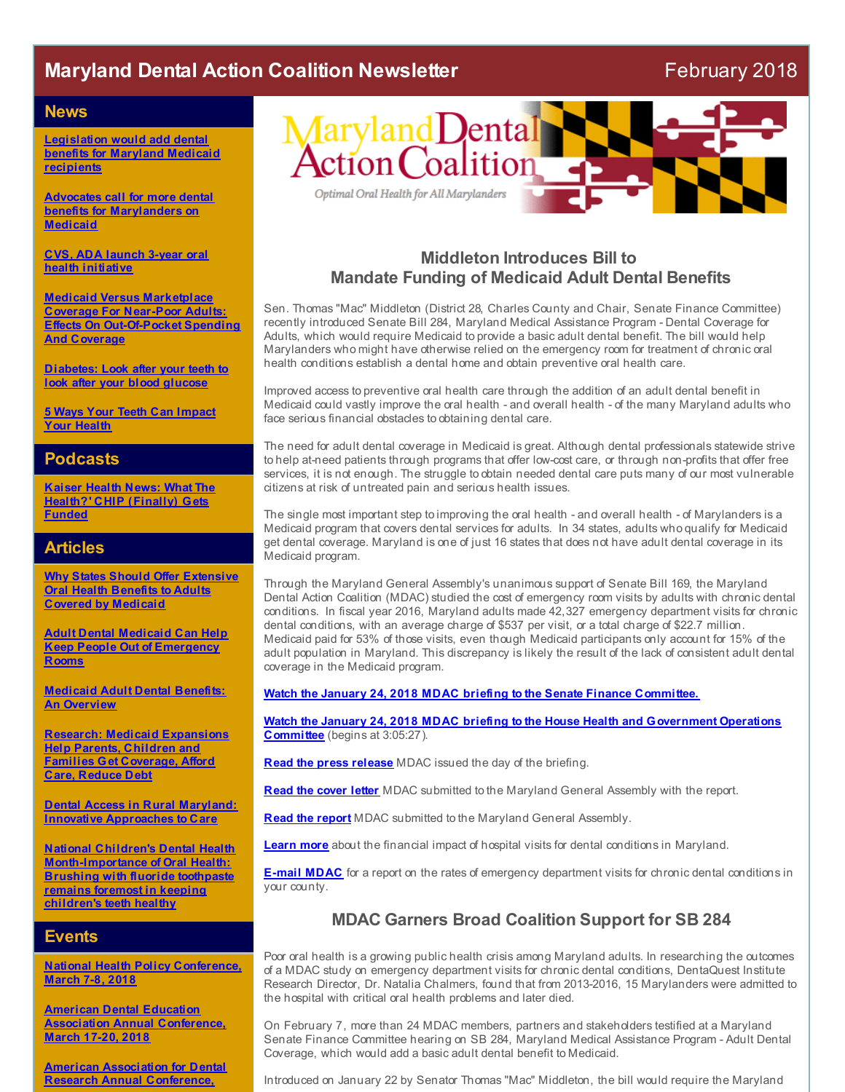# **Maryland Dental Action Coalition Newsletter** February 2018

#### **News**

**[Legislation](http://r20.rs6.net/tn.jsp?f=001Xb41drQuKW_-oHy2weZP9Y9yojK87cPI4KL1qJjUR07CNQCyy6EfWtrtmR8M4CN9Cjk_8PHGCbpU_YGoNfaBREODhYgf7Dc1fUacWSqr7BUg8ywtmzPbI1DuhF5vkgxztr3k57sp-Vs5rAvYPfvvbtWK2Ors3eeUamHNWdPPjtXf_1kDl-WEokPypeL6gEVk0Eug552XUmoA24cNCW47eoNjq0hHJq-DGVPDyFudR8Iz4tFSZGLMqV0FoXfcKS5YVGczRnNIMlEWbkThEFQS8bGYeWwdvgjg8vqCi7jTRsrTvjm_Plq66H9nZgq_v9pCAtBtuOL5_ZyPIKqjXFOZOurEcFQ_4BVo-NWDiTvLKYjcKQrbwrxy8YjTRC6xVlPYXQlIwLfdw2waR2Sxxdns8mh8RG4GXIh9&c=&ch=) would add dental benefits for Maryland Medicaid recipients**

**Advocates call for more dental benefits for [Marylanders](http://r20.rs6.net/tn.jsp?f=001Xb41drQuKW_-oHy2weZP9Y9yojK87cPI4KL1qJjUR07CNQCyy6EfWtrtmR8M4CN97-8RhsoyTF4vVwqP7THSLU62d-pUVohNGDp5dMFzViz4EVU8hX1r2oJA5S_7ljIja7nxmUq7WDuN5D-wgqvR4BTcSZdjU1NcwRwAZA05D1TbUtFT6mzieP_r1vOq8BMe2PsXOiXzG4uhnRzP3cOToBtByHvwq8NACB5Zq8WA4uFKQS9EgcNLl0_rBq2g6pqOhdGdKHYPkUTo96F6balhB-jTG1fUExSR_qZdtJklb3Wg3IFaj1C5zwTV9oouL4DyWb7vpU3MFAcm2QGEhOxqZh1TesfZRt9_KNgfvcGhxrMIwiZ7RO7Vu681hvJktFU0GuKTgBx7KLJ7z3E8yhZ1YJii0OcmoAJg7fKtvKC8LF4=&c=&ch=) on Medicaid**

**CVS, ADA launch 3-year oral health [initiative](http://r20.rs6.net/tn.jsp?f=001Xb41drQuKW_-oHy2weZP9Y9yojK87cPI4KL1qJjUR07CNQCyy6EfWtrtmR8M4CN9jaKiPnSZ9hsXxjkOUMH65rNH72FZ4-qY1t27hRQ6yYu7WRn4ohCg8V3zUuk7hldwemkd22FhldC7gcs0HucEsGrDMRE20aUCjXeius_gynlYijPYC_9GEAo-KheiY7mZ_A_EtPzx_WVAUQ3az9AcwYH_Wp5WvNoTrI_y0RQ6D9eB2YRaLZSvru8AeLfDU51qe6alRB-4ZXSB-zZ6XQrqInEccZ1pNDb3sTGcBiNvDoYjDGdZ0AA4N78Ll5eizjKCysDp7RhmsUl_fyPMiKmLNhe_2u_OivlPk98ux_ZxOEdXP3tzccT_-g7xevlVbD4l&c=&ch=)**

**Medicaid Versus Marketplace Coverage For Near-Poor Adults: Effects On [Out-Of-Pocket](http://r20.rs6.net/tn.jsp?f=001Xb41drQuKW_-oHy2weZP9Y9yojK87cPI4KL1qJjUR07CNQCyy6EfWtrtmR8M4CN9Ckkn4w6YB9WWlbCVHNcAaw_Kt4-RgfTK7WeImztzv0xpIKw9kUmCfdLUEsXkhsg3JqN2XaTVssXi7tQyfnLYdgXYTMkdc9UalB4OjZyc2exYf1ZeM89CxTtOheSvQHNZ59khBPGOKVkzljDN_qaZ5C8D7k8qiNZTDJ2eSJ-TelcSi1QeAEBcoGj2C0Yt3cBKwgMdoXdccCtiqO7pTbWLhYrLGiA3k2G6ddbHh5rErQWrgw6WxVPuqzW6adTGdV6m6EiHUXZP_RilLIDx-jcDt2clKAoTc-oguxeibwVZa9lbq-nDAKgoSut17wlRS-HhJ7_vjdy5nG9Q4iaqt1Gt-Q==&c=&ch=) Spending And Coverage**

**[Diabetes:](http://r20.rs6.net/tn.jsp?f=001Xb41drQuKW_-oHy2weZP9Y9yojK87cPI4KL1qJjUR07CNQCyy6EfWtrtmR8M4CN94jcKfgk-WJ68e20HZb1FnFSxcHSLYfE9vbY_6X6wyAa0nIT6V4FeBpy-hWc0kMJUp68NPUVnFmebvH3GZck1dG2kOdvLQvOa_o85jsIblWEGDhrKhZzKMKL1qjm3Y-eVI3VG4sablJ60dpQjfELS7FYoZ8LKXi0tVM5fI2hqFZPsj6DhZ1dwk_u2W5E92nNnhZpFVGYArwLPbM_5uaWe9_kPZSlaPm7TWbqEsiezgMO2AmDgjFCEnmjUDantTK83YUVxVT9GXrjN-9nEQkB_f3wWw-RJh-Rz&c=&ch=) Look after your teeth to look after your blood glucose**

**5 Ways Your Teeth Can [Impact](http://r20.rs6.net/tn.jsp?f=001Xb41drQuKW_-oHy2weZP9Y9yojK87cPI4KL1qJjUR07CNQCyy6EfWtrtmR8M4CN9QtiQ6hci9HCXOtmEsIUZCAhWv1bgEVW19S2XCkj3nwpStF5P4AsVXMv2B7pHBwqQBkdz0DGUHduaZ2mzSwFHGbEk9UPLfSQhxeCqvTEFusuVWPtBXwkph4YDuD-Dbv2QNozTMaadePrfahSOaqLfctVkDgI8px-JZHklOM94HR0mJmBYDHN0uCL82x6_9yGG0OtRh-gBexMi4qtMxhsJaJNyax4AytLauPpoue79v4j7aDGQfLHwF5y0-HD7DvRKfO69Qbt8pC3QTaS-eHiosEnH5-B4KuEsKHrXFNfqcfTKsEMbCoMrEzI7T3LQ9RMfYfaRC5ePAz7tbHU613azUEg5uFxz4fAV&c=&ch=) Your Health**

#### **Podcasts**

**Kaiser Health News: What The Health?' CHIP [\(Finally\)](http://r20.rs6.net/tn.jsp?f=001Xb41drQuKW_-oHy2weZP9Y9yojK87cPI4KL1qJjUR07CNQCyy6EfWtrtmR8M4CN99SwpQiL0UXSmvpt8E8ErmJwWGa8nJosEErnmKTi2xQ2cwqBOp_Z1DhP3AEgRAjGaaBrfkcczZXa5MS-vuUHuKpHKDr43vM4VQUNd0xjgVmVQpgMc6WPuqZGq4p3bEEP0PTTyIv4tTdjblq35YTc76nSCc5ZyKHv6VpKp8fZaFFR7TuHnxMODA9ttA49HEBq32_xNRFRGdN-DGhfYTzzXQDm0vX41pVgZwSqgOVy9K9wDG-rhubJE6xNZIMcIqpZlnyStF7nf6KoGzzyFGopcx77HnC4cnPAY8C5Qt_RDHalvS4JWzHIIW5oGZs5KBYezxEhxad4gIDYC75RCGwWEurjFhNBsH80l2WMRXPmFhnt2Vu1-MXgQaICFG0oqnLtooS2Bqb2v0tZCNIITEvey9V4Tl0bZ83XoehybvyturTZfOm-zKn3QRnNf7C62cSg8zsWFp98X9w8IUmWJHJlh3jEKe5Eo8_AvqawL6LBsCzMsQIhOecWXkR9f0qKYBLIz_-V9Wm2zFP3zLqggbAO31i-l-bJZG78mQt2A5Pq6H_G5x422ghFidSO7PbzSjNvooIgDK9zjcH0UspJfOn3TkTRX14qjNhzag4_2Gjlz57HGGlnFsXUMRjfKBHrzPnyCq6uBw_DM23lCdKL4s1Rr6Z1BaolxomQp&c=&ch=) Gets Funded**

#### **Articles**

**Why States Should Offer [Extensive](http://r20.rs6.net/tn.jsp?f=001Xb41drQuKW_-oHy2weZP9Y9yojK87cPI4KL1qJjUR07CNQCyy6EfWtrtmR8M4CN9UjdHmoMoBH8Q2Y3ZqEbWOOnXYMeON-IZuXAixR60zskb2kI7-gCUXGkyqTT5Ph3kDWtR_DZrm8NtOYFvL7repYk1kp38B62glVUDDvZRx2U5jvJ4KP7BdHrDfS-2Zt2ZlPvnL6gW1DIo77V9yk0aZP-0nLBtQ9OhG3dNKG1jklYV77kBMrOLGcXtuC2G6nh3URbgFcrfreDQLe8-5XoiRJHOhUyOVl8sofL3iEOQtyvrupzCEO3PTUKjNpTfhu7ZjNqO5Q4tI2-k2TUCWaUbxy4ob0Ecv6DjDhPNMQoGGz9hoAEk2sZ7BD-ivCTabu2_YbE_iboS1Ac6zG8vim4I8swy22r4M5zdnq7zXXiy07I=&c=&ch=) Oral Health Benefits to Adults Covered by Medicaid**

**Adult Dental Medicaid Can Help Keep People Out of [Emergency](http://r20.rs6.net/tn.jsp?f=001Xb41drQuKW_-oHy2weZP9Y9yojK87cPI4KL1qJjUR07CNQCyy6EfWtrtmR8M4CN9ej9eiSiKRAyMKDTwYyhWWJHzjAB5RGCJJGsFLOJH_Tyu64p7Ey2Mvv6zWfHL4uIeVaJME0ix_7eQHG98zEi8q_QT6oBqoZXvZ7KAGjpn5ShEIlV4JtmsD9WnxYymLB8NJSc7X63xZ63MdCyTIrvQqoXtsnsqHEJuI5JnRRN35JogjmuoV5ujZ0tyOSWSkseCC0O4JbLb7BO1zsJ1zqdnx4NrKtoA9kdDKE8HvxmYXXZNi6c5TVKZA--ymj5pEOyZJTHM5Ud1CoXRTDxzNdobxNuTUOjLxXExWzRY31uIUDAOqC41tMdvNFefX3K7a9ZIERc9ADWjJHAjiN3UP-AWL5tuK9shap4y&c=&ch=) Rooms**

**[Medicaid](http://r20.rs6.net/tn.jsp?f=001Xb41drQuKW_-oHy2weZP9Y9yojK87cPI4KL1qJjUR07CNQCyy6EfWtrtmR8M4CN9bg-pGUriqrE6JcoSp7-qEkfYaGfM_JaWm5DZ677XxbhvIU1m_5CXSE1ebUpXT7SSemI_wagWHbVR3Bf2cF7LuzIBtZTUFQpQZD_PtJMvNBVtJcnvGgIcupSPSIb5SaW13mwfAqHgmfSvnI-iSrGh917cVgbFA75Z0u9dw47b-gD97EOpoos23XrWjNiNKN-NsSMJSie52ve1fdn7KsEEKXMJGU2GDLVeO4KMmoFhB9ifpmsTUJv2qtd_xaEqPuKc-YGR8XH_1fStx_vI40vMqKS1JznSPTK1gF_756ML0GhFtxRpCm8IDw==&c=&ch=) Adult Dental Benefits: An Overview**

**Research: Medicaid [Expansions](http://r20.rs6.net/tn.jsp?f=001Xb41drQuKW_-oHy2weZP9Y9yojK87cPI4KL1qJjUR07CNQCyy6EfWtrtmR8M4CN9NzeZThGqX2B9T8-s27NRkhEskf9Pz8oN1xvDliYnLNSOmgQwScwpkGYWZCrwlYYaN903D8UMA39nDF_LGy9IQXFiWQMadBt5YmwMM_dXQmt3V7oFEjwMeJFPRpVj9Jkx0_COnG2JOQFO8mYSNkUyqBzbGeT9ZpeTcCUKocKWxeoHjtdNVWfPWcQ_oDSnPgyVG51e1_jgV0Vvk0JLp__zMdwCpj7_wi4Js-hpYivCL7URJmukASVV45Va5-9Ud9-kXNiTTaGJrdqUXzUeYOIxSb8gNcJmb_6ZcysDsqlYpdZcsAkNeO2E0ZajChilcnj7-aKoW6W6DEXUK7MbnvdVWhXNEE-eHG5F3sz1eXMlhpyn6pYnWrbOPDYvhevqbIegykhIBD6y0wEZwl46NwGX6jcos5EX5KYZ&c=&ch=) Help Parents, Children and Families Get Coverage, Afford Care, Reduce Debt**

**Dental Access in Rural Maryland: Innovative [Approaches](http://r20.rs6.net/tn.jsp?f=001Xb41drQuKW_-oHy2weZP9Y9yojK87cPI4KL1qJjUR07CNQCyy6EfWtrtmR8M4CN90ZGmumU2_uB6US11h-BvVuMrfHoL4kX-KKl1Z50Un4RlUI1xdXKVUFkjKrQm5n423p3D7gaX5CKpMh_2bL_uIqqVycqi7IDxekNJ2RtugUBpD4JuSYNt8BkwORQNqsfkPYDtJvsc23QYdLj_sSkeDW6LK-OpQz8puGX4cAU-AfULPXUmmFVCxXZStpBNlDwxl-TtaMUWl-apYgkDWQX3jEA24RlPhpV5bjhQNiigRCDoGwVhng7aGiojyImj139h7VpoTdF06e2R7QaCIaZifL2VlMuikpEYPPNOQg2bW4vBqX0rTOp1dNIuWvVljU24vcgry2_tG4bjkoStfhPCCmf5jV98ew6WJEhCGt2l8NY=&c=&ch=) to Care**

**National Children's Dental Health [Month-Importance](http://r20.rs6.net/tn.jsp?f=001Xb41drQuKW_-oHy2weZP9Y9yojK87cPI4KL1qJjUR07CNQCyy6EfWtrtmR8M4CN9yGVm7rCT0MPNnMg5-_LhtbKy5d1N0D23DmDbSVXO3x4maU7uK8MlsEN9JAVXx_M5rIx2xRCZ295PNBnrQM4jrR3UBVk-Jd2J-LPCxP-hwKnY3dUetjAyrnzr9yG0_vELy7jaH6rQq0zyX7fkWBL8N2VeD8dDdAA-7zdKRzhIG982wfy4oprrTYg-Y56KsT3veyBAwMTw48pb0HhclHNYl91tQ2E9jAshOf_ofoJ4EDc-f9PgglBEQn4gzVZ7EDjBQZZK_Ug8twHyW50aEBMk_6wcEd64NQ7sI01xd9BNCRA1zvm8eeG9GKK-oxqXZyHjSVvA8TGLHzdVUQ_0pCQeR1Ede3jaI5oRpEnm4Yocobx52BytSavSOSJRsb_Ldsbi1Lm0_OaiWe0ZpzoBLv-0O6ZSkI9Xe6sJ&c=&ch=) of Oral Health: Brushing with fluoride toothpaste remains foremost in keeping children's teeth healthy**

#### **Events**

**National Health Policy [Conference,](http://r20.rs6.net/tn.jsp?f=001Xb41drQuKW_-oHy2weZP9Y9yojK87cPI4KL1qJjUR07CNQCyy6EfWqXdof857Ibv6D4kOrR5TU_FX9ki8e6HkEtI9FCecQ8djNlfxCgwGeRtMaouaFMOt3zSkKPKP8VW2ZfjwMpK_jBE3ISIvOPcaMyPeFgIlyov_8rWY1ynv0TaZjEJgwATtd4kT87ghYe4V3DTu90czMixzuZjh7YxWKwagRA6EjNDYdkyroCjb420rY1UlqVsuSHIPakEy12Y4X79mOJUiQDiUGKU3pdJP0ZrkosHTDNBgzTn9FMRLxB0fSkmhJAw0GT8e-4GZetmekhHgJkXt7vNXrzDohHvEtu8Gu5d2MSkIsMoPf65XQrGoojj5PKzp6LBBU69OEkn&c=&ch=) March 7-8, 2018**

**American Dental Education Association Annual [Conference,](http://r20.rs6.net/tn.jsp?f=001Xb41drQuKW_-oHy2weZP9Y9yojK87cPI4KL1qJjUR07CNQCyy6EfWtrtmR8M4CN9YO4V05mBdAhzmzhSUM8pPxSEFm6yVoV3bR9N00QOhZy0etatuPSe78Wdm6uMjv634DE-me1a_2AWTJT_yn6ySYF7g6Hz3slpNrxRWmMEye4DMVO3toesd5EhYCB-PpNbRwaw5s62wDIG0krdviKJdw5wIujJz7PHmHVWt9zmOlIc_-KZ3nn0QnaGdlQjW_el8piTIHLfvEfqfNI8xUsHqhno3QbntSqRu_n8BkFgISZqPBxMzxh6ENHQIZrgs2qN&c=&ch=) March 17-20, 2018**

**American Association for Dental Research Annual [Conference,](http://r20.rs6.net/tn.jsp?f=001Xb41drQuKW_-oHy2weZP9Y9yojK87cPI4KL1qJjUR07CNQCyy6EfWtrtmR8M4CN9iKSSzLg_ccmzPR-Af9KoB7efPFchef0OAOoSmpzcgZAun0qYmf4fQ1bwqd19VVm9DE6hE2w0stRzXGoea2C3Tjx2NR0kAYf6-u_MHSCDVwH4zfuVD5-MypzMPypAlEM_DIaM6xUErqu35EO6W4h-rX9rVAfSutZrdOmWaFUqCsiOp-NOwTlVsb6CCUNVlwO7OZkHYw8-wZPWcR78WKzXW_Wy5ozjO5koR9xXVXXGdtwfplIMKeoOU66Aq2-WmFGE&c=&ch=)**



## **Middleton Introduces Bill to Mandate Funding of Medicaid Adult Dental Benefits**

Sen. Thomas "Mac" Middleton (District 28, Charles County and Chair, Senate Finance Committee) recently introduced Senate Bill 284, Maryland Medical Assistance Program - Dental Coverage for Adults, which would require Medicaid to provide a basic adult dental benefit. The bill would help Marylanders who might have otherwise relied on the emergency room for treatment of chronic oral health conditions establish a dental home and obtain preventive oral health care.

Improved access to preventive oral health care through the addition of an adult dental benefit in Medicaid could vastly improve the oral health - and overall health - of the many Maryland adults who face serious financial obstacles to obtaining dental care.

The need for adult dental coverage in Medicaid is great. Although dental professionals statewide strive to help at-need patients through programs that offer low-cost care, or through non-profits that offer free services, it is not enough. The struggle to obtain needed dental care puts many of our most vulnerable citizens at risk of untreated pain and serious health issues.

The single most important step to improving the oral health - and overall health - of Marylanders is a Medicaid program that covers dental services for adults. In 34 states, adults who qualify for Medicaid get dental coverage. Maryland is one of just 16 states that does not have adult dental coverage in its Medicaid program.

Through the Maryland General Assembly's unanimous support of Senate Bill 169, the Maryland Dental Action Coalition (MDAC) studied the cost of emergency room visits by adults with chronic dental conditions. In fiscal year 2016, Maryland adults made 42,327 emergency department visits for chronic dental conditions, with an average charge of \$537 per visit, or a total charge of \$22.7 million. Medicaid paid for 53% of those visits, even though Medicaid participants only account for 15% of the adult population in Maryland. This discrepancy is likely the result of the lack of consistent adult dental coverage in the Medicaid program.

**Watch the January 24, 2018 MDAC briefing to the Senate Finance [Committee.](http://r20.rs6.net/tn.jsp?f=001Xb41drQuKW_-oHy2weZP9Y9yojK87cPI4KL1qJjUR07CNQCyy6EfWtrtmR8M4CN91-VIf6gr2EfDv-OqgqJ8Af6wzUZBFlpRgYnXGu5OmnOkaiGWsr0wpuhm1YRsKdZSjLNHHYCiASH2xJROm0HyPaSn1T350d7SK_vFf_QjBzWBHcxTQvwToDiguz0VF2daV2pK_rJrjTRnvzjZQmiCJUWf-SUKDWbYPAwla7LlCu8nSOHhJKqj4fV1oG1hr_J2Iz8uWSalMcfqQ8Mktz4irgTRM3bZ8uuP-OK-SbV33x3kT1ejoqo24VhewWOvMEIFxvIz_p14OFK1MA87EssB1LL031oKoZZMj9syxUXnMbyFD7wwj6o3JIXgaNAwBRmuh-EdyWxpCet78D6l0lOWNY5KtW9lU4Z5WuxtPpI6ubyqCoa17hZ_mMqmlf24L4wfJdGqru7GWVA=&c=&ch=)**

**Watch the January 24, 2018 MDAC briefing to the House Health and [Government](http://r20.rs6.net/tn.jsp?f=001Xb41drQuKW_-oHy2weZP9Y9yojK87cPI4KL1qJjUR07CNQCyy6EfWtrtmR8M4CN9Ap9MIZh9joCbR-e0jcaR0YdmZkeuGmK_D8Hi8UZtRV4ChpCIfQe8W3ZQiE2qFvI2nNXpGMk0Y2k7xS9dJ6fBj7d_0tFXnJO5DiUAGSLLBk9LG1ZjBS8iXSI9H5AukhqYIpr13CSHcI63CUqE9fChuNDga1FpRMoURFhQaD84jG7wbHn2Gm7mEGP_O0zJqTlZAqBETq7luXLPSk8ZHpDrpnXw5LDFuOj47YeADqCUSs0mJEbaS_KD_GitT1wUnF6AmRDAvyIQqyBBs17lO1LpqVH_5ZmPQzESW_D8QWVh8GL2ckWSx8TrCJN-zqHPmYLE5urOkQohZ65wLTvfy3t94Nnj35nR3P31lpSe0qHOhMkHvmBs60xtK3Y4Fsxn_eFzYI9SSZpV9UM=&c=&ch=) Operations Committee** (begins at 3:05:27).

**Read the press [release](http://r20.rs6.net/tn.jsp?f=001Xb41drQuKW_-oHy2weZP9Y9yojK87cPI4KL1qJjUR07CNQCyy6EfWtrtmR8M4CN9HtvmGkWwlooLV09OYHEMbAqE99A157HH-I0vJc3pSxORc2BLQ3uAyJcIGdgArWO2sTZEecmu-4snJGE1rLT9whB55c5QS44Lq3u4KkqeZYptg4p0H3Ev5GxU18BnP1Yw8cnrE_sqzvET_Z9WjyszRxHeKxlbXkZ1fZ4nx1eF4knGOTqCiaCT4Pv6G5gkIOktQ-KKcKGWrBm2JeOXc9Fbpm0lMnhI_sL8NoX0TuvAgI_S8O_OxOgwHMunvymVNSU5&c=&ch=)** MDAC issued the day of the briefing.

**Read the [cover](http://r20.rs6.net/tn.jsp?f=001Xb41drQuKW_-oHy2weZP9Y9yojK87cPI4KL1qJjUR07CNQCyy6EfWuw83ZyKeI9N0lAC4wTRbwKf8wNwfGHHxL7DA2nZjOfa32Wv94kqpTusUIAepWFfzNHU8tFeo8PWQNCArDmZg4CCHifdy_pAcjvU-4wYAQPIKUXhCYM-hETIz6ecec3A5zAzysd0xuQCx4IAUCp5_lyJCYdXy4SGV8_F7CkA5eZ8RgnRpB2idrs9vqRdT_DDhoAAdY3juJUssEhH3K7S5GAdYxJxMuuENUMI3lmwEGu1QoZ2iD3EyhEv6gsdm-IXmVvy90nxu6DiP3Pi2Rfe7TPXKcH6PffSM1IVo7WLgFtiYk0jpYGGXUPY4DJ-SMgQyx5EPO2CpKpfC8p-gi2yyoM=&c=&ch=) letter** MDAC submitted to the Maryland General Assembly with the report.

**Read the [report](http://r20.rs6.net/tn.jsp?f=001Xb41drQuKW_-oHy2weZP9Y9yojK87cPI4KL1qJjUR07CNQCyy6EfWuw83ZyKeI9NK987WsFdLKEEYAINTMN0t7ZpICh5drncBKyGH9siLN5aY0_WBjyAHUb5dV1M0RIETTkkT9zyIioEG7sXGjZ5eCIx_4cgcvC8u3l4DdhmNJs3Sa75Jy_mGvnkn7SaECvoByQOAKB8k1yEVqt4F_NOR8xBIlIrUhgPuvJH0EW2M7-cQj9CCO_gPU-q7kp5FUtr3QfHT-lEWhxP6zlvvC7RHE5Jq7pvBetCOHTNbsCpKAMZI0aVDdoK3YTBJHx07p-kb3KkeUXA21WQmotZbdJEsQWLxsz1Q_ymlWl00Mq5SzAySFxZs3ibRLl1DmjixbTBtcDMzeoHY6lkEN6NjlGWBcG-tMoYGDtXFA5lSGsgkX6KwXEIih0GOehgFO5Hw8UJdBR9zI3p1Q8a3mT4rgi83zp6g4aU9g5n&c=&ch=)** MDAC submitted to the Maryland General Assembly.

**[Learn](http://r20.rs6.net/tn.jsp?f=001Xb41drQuKW_-oHy2weZP9Y9yojK87cPI4KL1qJjUR07CNQCyy6EfWuw83ZyKeI9N1p1ALZC-6KDRXMr6X_R6BmKttCkOBdOVDlifXfURDNZ8WQj0DlLamQDsMQ2zsDZhluOrrm5cG0ICqa6t0TIo32cEnuPgLB-YmVsAhmLWThKZhNMLd2Zqljyjj9pm9EPBeL2FoK6EbLJ4ZvGbHpkaeur_OGTUjR0YUwSIbZg4iyBi8aqXnA7fjCgFEFlRloniMZ-BNgej4Ijw7YsmUQfVjN_JDll9WFVX1YzXg-cF58EvGLSwMEf-we4YkZ7Z-1pCBDL7hesvteqbjxi-0vrWqSX0JJjcTIiAhnN3PeY9Dog=&c=&ch=) more** about the financial impact of hospital visits for dental conditions in Maryland.

**[E-mail](mailto:mbackley@mdac.us) MDAC** for a report on the rates of emergency department visits for chronic dental conditions in your county.

## **MDAC Garners Broad Coalition Support for SB 284**

Poor oral health is a growing public health crisis among Maryland adults. In researching the outcomes of a MDAC study on emergency department visits for chronic dental conditions, DentaQuest Institute Research Director, Dr. Natalia Chalmers, found that from 2013-2016, 15 Marylanders were admitted to the hospital with critical oral health problems and later died.

On February 7, more than 24 MDAC members, partners and stakeholders testified at a Maryland Senate Finance Committee hearing on SB 284, Maryland Medical Assistance Program - Adult Dental Coverage, which would add a basic adult dental benefit to Medicaid.

Introduced on January 22 by Senator Thomas "Mac" Middleton, the bill would require the Maryland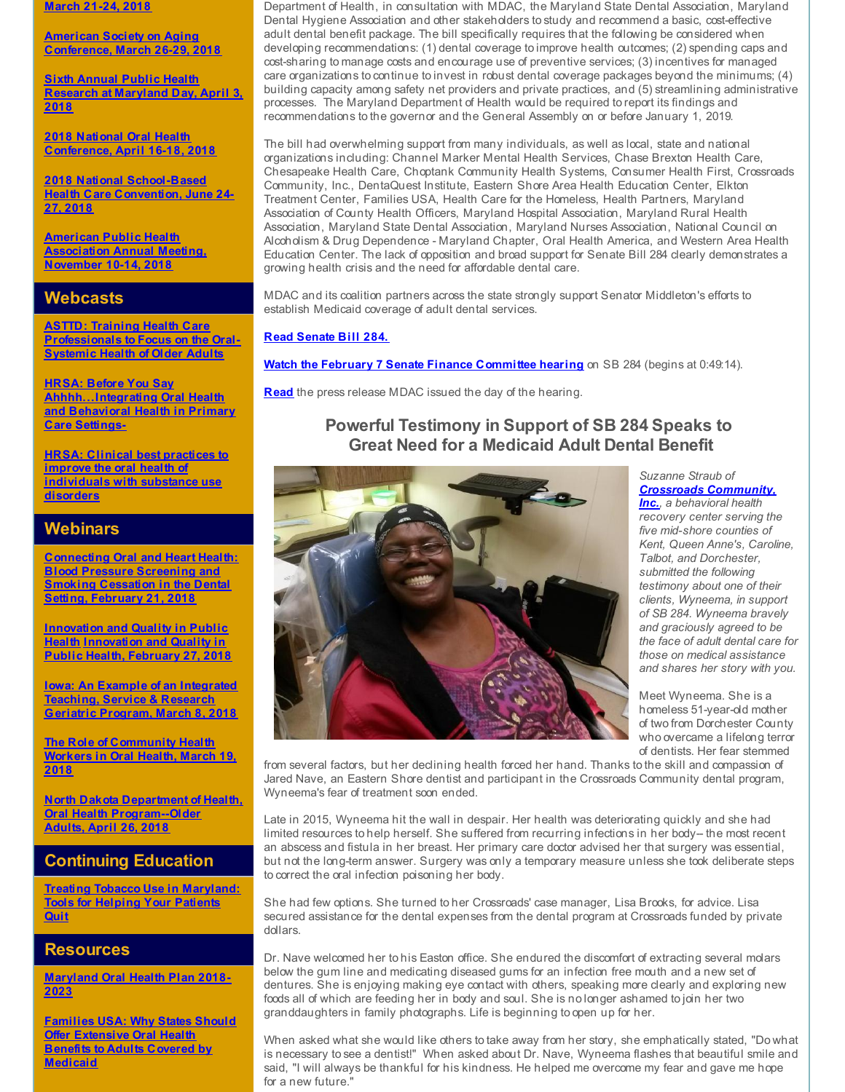**March 21-24, 2018**

**American Society on Aging [Conference,](http://r20.rs6.net/tn.jsp?f=001Xb41drQuKW_-oHy2weZP9Y9yojK87cPI4KL1qJjUR07CNQCyy6EfWgI1duiAwfOXSxG0jox-urgBq4VftdsOLqrmwk7VvSgwBlZuJof209Z2UKMWmCBWEcTNQsWMpEuW9SZFA-WVUUWrbbXA8pgEVC24dLmQhwtLEOEFP9cjGw0BIrmKT3q6hX6Ba4Vzu83SJbwcS77MTLJUmFS7hY_RauxJT-I2nCvr7s65wzoXbJb_7J40pFyrcMLxeBviiCHqcKv9tiN0PpCwEbP58pUx0rQ2NcooTVrFU4zrej_38vnNm2DIUG7MSXVzreV0puRar5cGIkoSYEw=&c=&ch=) March 26-29, 2018**

**Sixth Annual Public Health [Research](http://r20.rs6.net/tn.jsp?f=001Xb41drQuKW_-oHy2weZP9Y9yojK87cPI4KL1qJjUR07CNQCyy6EfWg6PBvt4rVCxkLerFzw3te5i_NqvK2vFLtVXp7tSXStkWKMLmkW6HPsDpBDl_l7RV-2c-LFJw1rI0_Coto85MJEXLuByiC5qQMYNWQ7h7KUSFPrfvERpsJfht4rOa99dK_D6fvzEvhL4xcoodtnIzfFd_Sr2w3qnK_jveyhrRTs7Am9px-hpuROg48wZg4v96KX8LV1QWQ36aXhPCjpABN_yYdxybrIg3nxE2sH3Fcnf7ALuTg5xYWB6HqbOtgR6BgRtPq-SME5aNBCsEV_qmQ97plFJe0d6dOkGIFS2o0oEkINdMLiSjPLgsu6LzFji7rDQJdrg0b0rUarTP4XblZqVzHhGHnPfjYRwNEnDfW04fUhPBxzZMYA=&c=&ch=) at Maryland Day, April 3, 2018**

**2018 National Oral Health [Conference,](http://r20.rs6.net/tn.jsp?f=001Xb41drQuKW_-oHy2weZP9Y9yojK87cPI4KL1qJjUR07CNQCyy6EfWgI1duiAwfOXtCx6B1q0ajs9srmyXb0v-OUbSd9d7b7uHVeiY4-96CAjyOaGGBxp0gPGlTD1FX0P9gbF3sElDsOFt1IjXORnU4exrkCfFf27elEGgOV3dbPJShuH3CVDycqk-CHa-4KWabh3LDoM6sp5Jz-LzEUkY5ok2gB9qEaLcuCFzZeyC9zGjQv5MY0-l6nfrIs1ptwu5CDPGBR7GRCkJtRMxVxOofbdai7wGUTxKgYzEBg0ZWXxyVAr2Rk0sUIMW2dI23Q3IoLU1I-Xxcf3Tas7_HQBnQ==&c=&ch=) April 16-18, 2018**

**2018 National [School-Based](http://r20.rs6.net/tn.jsp?f=001Xb41drQuKW_-oHy2weZP9Y9yojK87cPI4KL1qJjUR07CNQCyy6EfWgI1duiAwfOXWhdS7r9hwO7_5ZeH7JCQOrRSJ0wYcz2BWB-UgyZzmDmo0uk_fa_pjYjXRjUj9LRZVO7gYAK-MYkK0Aw7fFCrG33yALJh8edy2AXlYpFtpDalHfEYwMkGT2DeM2iYtgbFx3xlPg91NdLH-c0caBjaUgSFdp3LorfFS2cT_nl2qjz0zs54sd-Y35a-aDZKssuIydzGoF97wroGKPCIWvNF8yiNhtR0CiCWlRL_i2DVxPaQAuPQTUFBFWmS1DHmA7HNAx7B00ZOYPBVUM9nr-DELQ==&c=&ch=) Health Care Convention, June 24- 27, 2018**

**American Public Health [Association](http://r20.rs6.net/tn.jsp?f=001Xb41drQuKW_-oHy2weZP9Y9yojK87cPI4KL1qJjUR07CNQCyy6EfWrUpG-A2OiPAqfXdoRPDBu4t32UdF1DylUCQt5Fe7AF89now-p1CfyCyYLfqI7iWpPLxxUOdQWr5JT3FqqDXA40aaDpy-EPtnPunHcACH05Q091O5s7DT6p8WXD77wMoqolsU28Pe-NQ2Obp6m2qA9PzetZzkAeQI07hk23Lc_74iVuU80rWabD108EXQyLBbRllYUvFraSAPYmpH3kq2ou7QI6F0ts8IzhJmBQkPY0Kw-RWOPj_4uqbg16Nux02Wf1U7UMMNLohTn9Kpgk92BkgUepT4RaawBuRQP3g_IGlvL62PMRshzRI_5_w0i7UmCNeD4gj2A8XRBRzXKwAvrk=&c=&ch=) Annual Meeting, November 10-14, 2018**

## **Webcasts**

**ASTTD: Training Health Care [Professionals](http://r20.rs6.net/tn.jsp?f=001Xb41drQuKW_-oHy2weZP9Y9yojK87cPI4KL1qJjUR07CNQCyy6EfWtrtmR8M4CN9QxgdDWyqbN6MJmTmYVSE0fjvxSR9_PMde2qldU06c9Qe8FI0MQ4lg2IFpaYZBsfSMW5gtMhQiJpvDp1ogn76IEh3Cz39E2PHkfc02sarKZXMP6eXyLx_QMv29j65vYJgQhNPXoTd0geLE_x1NmMZpp_uzw2H73NiLp003Q_zQvBVKSgNZzCQhQoiyFf9X40Z3XS8JAfVbxMGV24_D_Ew6r5N3cOibtfNpTDuXjZR-ruDG21YHl0Dz72rbhFi--M53oYoOHyj4226kSMS_b0_8A==&c=&ch=) to Focus on the Oral-Systemic Health of Older Adults**

**HRSA: Before You Say [Ahhhh...Integrating](http://r20.rs6.net/tn.jsp?f=001Xb41drQuKW_-oHy2weZP9Y9yojK87cPI4KL1qJjUR07CNQCyy6EfWtrtmR8M4CN9ga6WRGer0vE-PtRndqWqrD0RKU66nWGQ3feY4GyPOsnI9U_6UCpEwU760KXNLTdxrCzUumo-0I12cI8pnFdZqa-OS3ThKW0yWUifYonqqDLzxpM6l7xUKk3N8WqjCL8gAASOLwiwRR4krp4m5asBzfJ-4XROpMeGFNjIe5-sDW0=&c=&ch=) Oral Health and Behavioral Health in Primary Care Settings-**

**HRSA: Clinical best practices to improve the oral health of [individuals](http://r20.rs6.net/tn.jsp?f=001Xb41drQuKW_-oHy2weZP9Y9yojK87cPI4KL1qJjUR07CNQCyy6EfWtrtmR8M4CN91saG_c9-0fBJSUH5frpSEyEhZqyFzqqbN2ZoTrKnwySkScY-l9y_DRG3FYoEpw4VvmsKuQfKb09ul84fXEFpi78huAgn2BdSv9eczVs_CdXHhLbM88Irh4xdD4IfIPdPrN84huzdMwrd8MHY05grF6aoUOPNSTDg8wN1v-UhgXD_qyo6x24DKL0ufJ415rptSuP1AsVAzRdw5R88qyu3YLTDiHuaLOGC1ApIs72Iko8Pvbqyy7vwqT_UJWkbWM5wu5rHytXlcAxMuOr-9zJMcg==&c=&ch=) with substance use disorders**

## **Webinars**

**[Connecting](http://r20.rs6.net/tn.jsp?f=001Xb41drQuKW_-oHy2weZP9Y9yojK87cPI4KL1qJjUR07CNQCyy6EfWtrtmR8M4CN9q4E5yAvEk3pQ-vg9tTViD8cnrVKQp8DMkQkGW50qMIfFfE-nnG19H2LCQ1ITFZSzmz6N0rRChqOytEf29dqNLQBnwN2KA8mGjvclmRMBBNWX1Uy7551fvK2tn6Cn-yI2DI0JwqUCZUEVMt0xGwcNEJ1jCBTtr7nEr7J3gexUYGN2eHy1O5QomUU9A1Zk1vb8j6sKhC_NoZQy-DrECulVdJNLWb6PQm00uhk1IVPW_sxNDN5lUyB4Ro3LqILcW4l6ri6SapRWeQwPq8MKLyv3BS7RNoU6qfrdGEDZuSk20H8N5Gs_nBzYya0j4kIU-Mwo91jIXmVPH_06tOUApyqvHNpfBPCynQMfqhX5BQTIW2xXzu4qITEeNATFJYNJojBTFYcle42u6A1ltjRhgfAdBIrVulMdbTob8dCA089N7nWIWoRqbmxusqtLMzxyGO-sew6f2TpBKA6pfwtrn_FiifLjqs6k-WNG2VTKeoeNeIJ28fqsNToOLHkfnSTzSLmMAB_hF_HXUcP6XliCJlw3vW1_b5lNM63IkU0c3uOVSl9ObYkjXlGC_oba3COIlw4MzqWX6m6fSePuiV9au1NwzP_mDX5JSvhUR-Abs3bHaDl7q-gcSypb3v4Na8AJUJvGhzLG0OADRoqcu4fvFaEy1O3xq3UpuB9uer9BpM-h7ja7yu4lja7UAvY0VqcvqAbMue6hQgL1RG_jKsv3H1BWwLO39akOnSVMZfjlJ-mwNlmSHyeUEOQgB1OM7emp8pcuB8TpLybl938=&c=&ch=) Oral and Heart Health: Blood Pressure Screening and Smoking Cessation in the Dental Setting, February 21, 2018**

**[Innovation](http://r20.rs6.net/tn.jsp?f=001Xb41drQuKW_-oHy2weZP9Y9yojK87cPI4KL1qJjUR07CNQCyy6EfWtrtmR8M4CN9SWLtQRquYkGYTl58HXpXOZu8akvh11esppr1w6KCG8KasxrJoG3-ZV9Ol6VB2y3HrEvcWa__7levmhlzZTmrG6jMiBYGd3ELg3ge_jExhRZyUpSAyiyZ3BzUaoQpZ11fAvH6_BLTSwAMAgJBgqnY9T-9T6s2_yplL2oszkYpZ2oqL-Scx4lYxZm_tUocJ2vaaMmZXdbfNj52jAcl3HKOGd4bse5WltVTc8srDayP6bmxg1IY4oW6dB-NN6Au9u2yCV6GGXeY3rzygKJYSNEtILQ2N1CE6qruxqvLiprKgajnmxmRyR0stTREoD6rl2HYBwSn6VwHVFA=&c=&ch=) and Quality in Public Health [Innovation](http://r20.rs6.net/tn.jsp?f=001Xb41drQuKW_-oHy2weZP9Y9yojK87cPI4KL1qJjUR07CNQCyy6EfWtrtmR8M4CN9SWLtQRquYkGYTl58HXpXOZu8akvh11esppr1w6KCG8KasxrJoG3-ZV9Ol6VB2y3HrEvcWa__7levmhlzZTmrG6jMiBYGd3ELg3ge_jExhRZyUpSAyiyZ3BzUaoQpZ11fAvH6_BLTSwAMAgJBgqnY9T-9T6s2_yplL2oszkYpZ2oqL-Scx4lYxZm_tUocJ2vaaMmZXdbfNj52jAcl3HKOGd4bse5WltVTc8srDayP6bmxg1IY4oW6dB-NN6Au9u2yCV6GGXeY3rzygKJYSNEtILQ2N1CE6qruxqvLiprKgajnmxmRyR0stTREoD6rl2HYBwSn6VwHVFA=&c=&ch=) and Quality in Public Health, February 27, 2018**

**Iowa: An Example of an [Integrated](http://r20.rs6.net/tn.jsp?f=001Xb41drQuKW_-oHy2weZP9Y9yojK87cPI4KL1qJjUR07CNQCyy6EfWtrtmR8M4CN9FwGWzAxTNZfwH4oxdkDg3sMmzXzuM7sBklOKiAHZLkG1jtAUnHyjl4416Nz66rw50KenHOz086WcUZIgLTK1AP7giESLVdCJNje6ReWQh_I7AoHMpDOy51nmqJwHTBLfd0jsL4eHrVMtNkvVws_OraMfRhOjZNoCwqEc46wu7NK1qfjUEXyo4U5MnEe-k0WNEC1MMCIEXL9IdoaVT6VMhThyeZZwNH_8DP3rqepXJ9k1trRcPn3QSV0hqGN_2bOFWYoLcTUDi8vq1IW3dMTF1FwwtQevsz8i0bEEh6ZVumU=&c=&ch=) Teaching, Service & Research Geriatric Program, March 8, 2018**

**The Role of [Community](http://r20.rs6.net/tn.jsp?f=001Xb41drQuKW_-oHy2weZP9Y9yojK87cPI4KL1qJjUR07CNQCyy6EfWqXdof857Ibv5jh4-oHOrUqTjCzEYX6fThqljBgADZVinSaUdGWae8zetOgQ7B1zt-NTwdLljuP5WcFwRJutGh4V9JBiOn0QeuFAh4uHcbDpytoD6ZMiCeOIm7CYMLVrw7OHh0y96JklR04P9tI4R9rEpMDco-ufS2R0xbPdmq0xf36jh8bE0eWUAvS_Eip7rtLljWJYFQwRkvzyWpjN-fmAaTdc3_q9KqWQUXr8-KeiYj6MqqGzmr5G0P-XpGUThSOqJjJdWmivoAe4aZvDUkC_S5cbKGeI-0VjYpt-QYgFsTWutSxQEPk=&c=&ch=) Health Workers in Oral Health, March 19, 2018**

**North Dakota Department of Health, Oral Health [Program--Older](http://r20.rs6.net/tn.jsp?f=001Xb41drQuKW_-oHy2weZP9Y9yojK87cPI4KL1qJjUR07CNQCyy6EfWtrtmR8M4CN9eoVS4Ksc0_ps563LSuuxMHlRTed1Y7WQ_quV1QOImSTUYEmg3IdSRdCvd0SO-XjSc_dnUx24-Giq9x30AcFlDScwzSVNE3CHu2oHTiQHBzSE8GKa3_vAhSTAoyzMBshTllChFMO8J9-jHPnDn2OlIPy1tuoASHA2G2pXMlhmt7dneicgijMk_3KXIk65pjuyCx8MsV7zq4Z9wwStbXU6cyrzpafQMR2gQv-9HvczgS0y-ZRXKm2DlfOmH9VppY_wZwTmXZD7lU0pwGdg91kHMdkbNGQ3SbFBFnwrkqL_3ak=&c=&ch=) Adults, April 26, 2018**

## **Continuing Education**

**Treating Tobacco Use in [Maryland:](http://r20.rs6.net/tn.jsp?f=001Xb41drQuKW_-oHy2weZP9Y9yojK87cPI4KL1qJjUR07CNQCyy6EfWgzsjyJuRRoS44D3Fcd88WSrmlm1cMoL-0w0PRjzBCMvFwqw0zs6WIr0uIOv5NR6ZNLb4UFX_YqMVdSmJnR9qC-eDk7Ml3uluzv3veSYcgu3Hvohtwp9ebBkdgXYLPrJbwXi0g3-vBhfWSNNgNhztuUN5BCnnuDiISe7BzigXJTc9zinn3rfFvZk7dsF018yJd4st1fEk_-_WEiyNavzJIG08qSSJUp7NWmaY-cp8tJcndM0dkzrog0eQH06SK0PFXahzi1YBCUyc4dE8w9rpzI=&c=&ch=) Tools for Helping Your Patients Quit**

#### **Resources**

**[Maryland](http://r20.rs6.net/tn.jsp?f=001Xb41drQuKW_-oHy2weZP9Y9yojK87cPI4KL1qJjUR07CNQCyy6EfWuw83ZyKeI9NfbARqimTAKOcMwlRN7yF8k96kZv66883yaWck4_Cb1ypN1FgkXMOJS_Gm9yWLG9CGAdvzqZMwIE-DjL6_6IiKvxeo89uzcI-hF-jtmFw_BOIXCvgcfMPg-VkOQ9b-4Pj8il5Dy_eG4dRijL2OKIaY_55qlf3Okpp1F5LO1aILZ7ZaIh3Y7wTgB6ru7BN-0UJ1_dz1jW3R267A5nh-9lVAicD9b7yqbyYCy8TrdMrBqI6a2nrSuwiHxfkY29uKIbrhT1412FwFT6sbFC-s7RgQw==&c=&ch=) Oral Health Plan 2018- 2023**

**Families USA: Why States Should Offer [Extensive](http://r20.rs6.net/tn.jsp?f=001Xb41drQuKW_-oHy2weZP9Y9yojK87cPI4KL1qJjUR07CNQCyy6EfWtrtmR8M4CN9PhnxDV8wMImJjh8YplHIrpCX9jin39hVvFWWZ6iTm7S4X-FzTdx1Oj0Yh3-EnmYD5U2T_-F0Y5W3wksCfQFh5xbb0MFPm2YUZB5uimgcRGmEJM2y1V0-VwL-rzXrLxGwX9pjk20F0aok9TVHfGOXH6a4F7C4S-yzTabgOtFCpQIcvdOY9Ge4pqvnLXHffeBDBVYU9vT8ENj9NFYn9UCKKX919EAtuRwj9aIkdSU1KBkMKhi-sSEnVQM35GjA_xpi3f1pwF4oR4JV70g5bfH01eL7SaQ5uqCQPG1j0adsKMpSBOylQKgDwZGTj6b_ewqnQjZbNocuttKZziWMkcDuDpZOu7wnH9reuLAj4laSreLr5J5NdAI8uQ==&c=&ch=) Oral Health Benefits to Adults Covered by Medicaid**

Department of Health, in consultation with MDAC, the Maryland State Dental Association, Maryland Dental Hygiene Association and other stakeholders to study and recommend a basic, cost-effective adult dental benefit package. The bill specifically requires that the following be considered when developing recommendations: (1) dental coverage to improve health outcomes; (2) spending caps and cost-sharing to manage costs and encourage use of preventive services; (3) incentives for managed care organizations to continue to invest in robust dental coverage packages beyond the minimums; (4) building capacity among safety net providers and private practices, and (5) streamlining administrative processes. The Maryland Department of Health would be required to report its findings and recommendations to the governor and the General Assembly on or before January 1, 2019.

The bill had overwhelming support from many individuals, as well as local, state and national organizations including: Channel Marker Mental Health Services, Chase Brexton Health Care, Chesapeake Health Care, Choptank Community Health Systems, Consumer Health First, Crossroads Community, Inc., DentaQuest Institute, Eastern Shore Area Health Education Center, Elkton Treatment Center, Families USA, Health Care for the Homeless, Health Partners, Maryland Association of County Health Officers, Maryland Hospital Association, Maryland Rural Health Association, Maryland State Dental Association, Maryland Nurses Association, National Council on Alcoholism & Drug Dependence - Maryland Chapter, Oral Health America, and Western Area Health Education Center. The lack of opposition and broad support for Senate Bill 284 clearly demonstrates a growing health crisis and the need for affordable dental care.

MDAC and its coalition partners across the state strongly support Senator Middleton's efforts to establish Medicaid coverage of adult dental services.

#### **Read [Senate](http://r20.rs6.net/tn.jsp?f=001Xb41drQuKW_-oHy2weZP9Y9yojK87cPI4KL1qJjUR07CNQCyy6EfWtijc9igFshJUSkYvk1bcKx5ipJJsxgi9Gx6NcaPQQ8936h0TF7EYskca-Kwm4-pv_Xu6dFm39pn_7RdPVxjwZqJbfZ9lv7L4jtjFCLtfgyFzziny1b4YyjMbKYtIifEB0xr--S2iRyb9GO3S17i3uKKU3cW4EurBrh490tHb1K1bwUyDy1Zv5DgPKm5kqXotAUFyL28K_iA88G2Kn0LNG3ZmTMDRAhwYbQnHfPgW89uN5suxwGGy7AaZ6ZzHa5e5V9dQSpvVBCL8U8DjrUk7rrvrRI-eXh1xsQBI2VoVDZKGUfyRZkXs2k=&c=&ch=) Bill 284.**

**Watch the February 7 Senate Finance [Committee](http://r20.rs6.net/tn.jsp?f=001Xb41drQuKW_-oHy2weZP9Y9yojK87cPI4KL1qJjUR07CNQCyy6EfWtrtmR8M4CN92h9ztsdoaMzkENqb6Z-5tt7xvxZK_Vv1NZ-Q4sYep3sc_ZuHRc-ETUNvhWubc4IrU2RGWPAQMx9ogFTCEUe8AzDNFFC-hkLC72O2eaH03V7zUMDyacjs3vNQWPAPEzfshsDYkt2m_An3dtfypcJva1CBzpVwfEF9jylk6wCAeDJq5_X3Fi9UkSQ8r-3EQ6Bcx-5Yono4hDIuYvJUhMgaoEouJHhGDXX3fEF7q1K5RnLDuFqk9rGO8MDi42iHjQQ8fcHKt5XwvC9Z5tC_8FEpWLqnIxWFoBhaFkZ8I96v8nifR6Xq_3X4GO0jRWMq7dlvRCO-66Ad--YN7IPvLbDFiX9JBtbolgJv7zRqvsqgZdcbbUTtS33QEa6Y1Z08ljSQSxFUp3BVHSg=&c=&ch=) hearing** on SB 284 (begins at 0:49:14).

**[Read](http://r20.rs6.net/tn.jsp?f=001Xb41drQuKW_-oHy2weZP9Y9yojK87cPI4KL1qJjUR07CNQCyy6EfWtrtmR8M4CN9HtvmGkWwlooLV09OYHEMbAqE99A157HH-I0vJc3pSxORc2BLQ3uAyJcIGdgArWO2sTZEecmu-4snJGE1rLT9whB55c5QS44Lq3u4KkqeZYptg4p0H3Ev5GxU18BnP1Yw8cnrE_sqzvET_Z9WjyszRxHeKxlbXkZ1fZ4nx1eF4knGOTqCiaCT4Pv6G5gkIOktQ-KKcKGWrBm2JeOXc9Fbpm0lMnhI_sL8NoX0TuvAgI_S8O_OxOgwHMunvymVNSU5&c=&ch=)** the press release MDAC issued the day of the hearing.

## **Powerful Testimony in Support of SB 284 Speaks to Great Need for a Medicaid Adult Dental Benefit**



*Suzanne Straub of Crossroads [Community,](http://r20.rs6.net/tn.jsp?f=001Xb41drQuKW_-oHy2weZP9Y9yojK87cPI4KL1qJjUR07CNQCyy6EfWtrtmR8M4CN9Ln1kBKFLUqiqeTC3aX2zrbfx2I6fisTxN4lK_0O57KC95n6SU7PFKYW8b20rS9iNkrsNRGh0jYWfqfYyGUokIyv5enwARrqbb_QcsKP8ed5j1BhHPZyAl9HWxz0ILNS-nbfvAU-CRF3RksRPNcsXSvX-u9eUmuH9eBTVRXfNLrolL8qiizVarwfC_OfITTQmQwnqNhk7hBgCjM9jdEX9qhm4gPImea8-761H1QXhDm2yhgF71CS0B3WxLRMtDC6z&c=&ch=) Inc., a behavioral health recovery center serving the five mid-shore counties of Kent, Queen Anne's, Caroline, Talbot, and Dorchester, submitted the following testimony about one of their clients, Wyneema, in support of SB 284. Wyneema bravely and graciously agreed to be the face of adult dental care for those on medical assistance and shares her story with you.*

Meet Wyneema. She is a homeless 51-year-old mother of two from Dorchester County who overcame a lifelong terror of dentists. Her fear stemmed

from several factors, but her declining health forced her hand. Thanks to the skill and compassion of Jared Nave, an Eastern Shore dentist and participant in the Crossroads Community dental program, Wyneema's fear of treatment soon ended.

Late in 2015, Wyneema hit the wall in despair. Her health was deteriorating quickly and she had limited resources to help herself. She suffered from recurring infections in her body-- the most recent an abscess and fistula in her breast. Her primary care doctor advised her that surgery was essential, but not the long-term answer. Surgery was only a temporary measure unless she took deliberate steps to correct the oral infection poisoning her body.

She had few options. She turned to her Crossroads' case manager, Lisa Brooks, for advice. Lisa secured assistance for the dental expenses from the dental program at Crossroads funded by private dollars.

Dr. Nave welcomed her to his Easton office. She endured the discomfort of extracting several molars below the gum line and medicating diseased gums for an infection free mouth and a new set of dentures. She is enjoying making eye contact with others, speaking more clearly and exploring new foods all of which are feeding her in body and soul. She is no longer ashamed to join her two granddaughters in family photographs. Life is beginning to open up for her.

When asked what she would like others to take away from her story, she emphatically stated, "Do what is necessary to see a dentist!" When asked about Dr. Nave, Wyneema flashes that beautiful smile and said, "I will always be thankful for his kindness. He helped me overcome my fear and gave me hope for a new future."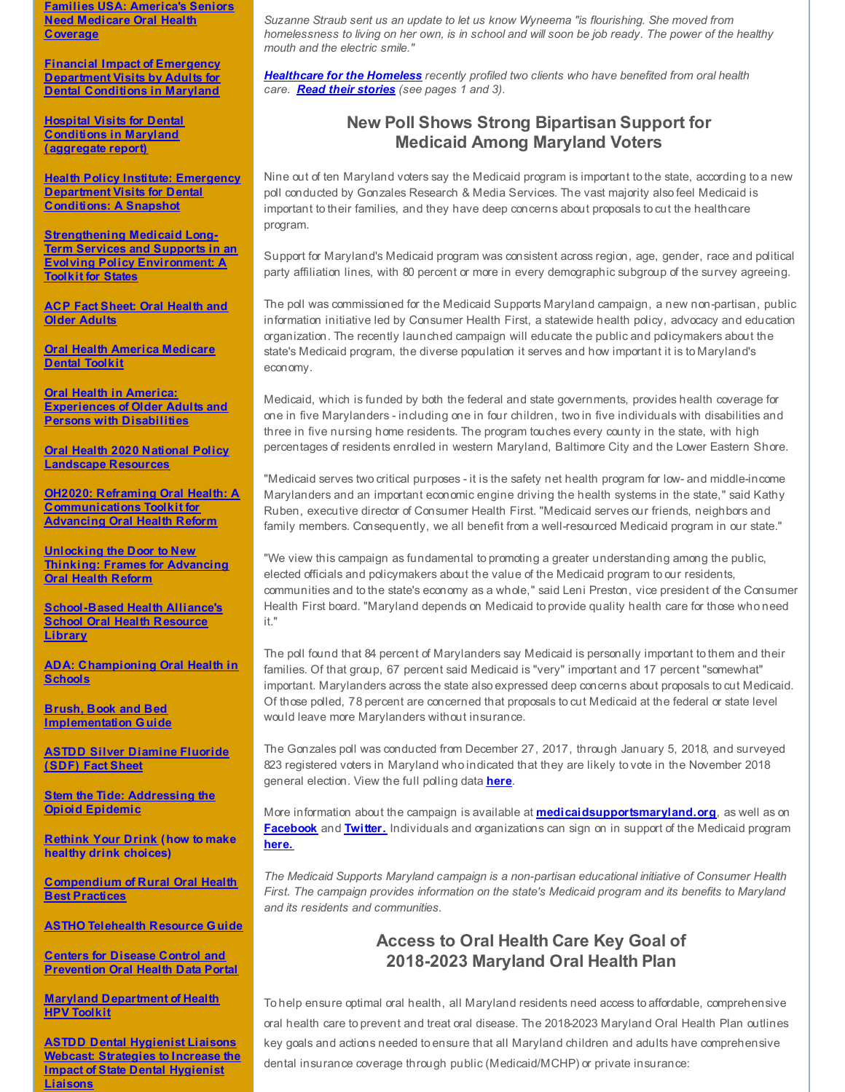**Families USA: [America's](http://r20.rs6.net/tn.jsp?f=001Xb41drQuKW_-oHy2weZP9Y9yojK87cPI4KL1qJjUR07CNQCyy6EfWqXdof857Ibvar-KMP4PArrlPeUZJyQi5HR76zGi22bJDL5rgj05ZcTOikKWGnAVjbOCqLrEgYzO3Ud8tZ9WhGKvqNaBQExsOvswBivpe7lIYSQTvZ2uKslF2rJDqmxkvTlhTu1b9R1gY3sl-M6M8gtU1cKYhFVNHFOj8MOwcCmE6pI5iTlsXGuWEsWe60qSrX_rdvfAB5hAYrPCm6Hz2X3HEDPcd2jwj_CGR1dAU8zwlMn3f8kM1woWTbo1-QSqupwhI81PZ-ozaJfOLu8mJE2kRvnPGsyk-kiERhbBZG5yuplQPP4EKD5ZMv7usyBm9qg3Rdz_WCGprTJyMHS6Z1OAD-BHynYrfQ==&c=&ch=) Seniors Need Medicare Oral Health Coverage**

**Financial Impact of Emergency [Department](http://r20.rs6.net/tn.jsp?f=001Xb41drQuKW_-oHy2weZP9Y9yojK87cPI4KL1qJjUR07CNQCyy6EfWuw83ZyKeI9NJu_dfPsO4V7iWHuzatiftjCREbmsDCbTaRniUA7q7WsKuAEtGnjIrDlM_DrW7XnUUBTxuw3QxK8J2nRLs6FAR3rzkcWSqQppStvYbEazVF5GdyU82gR8adVP7Ey4VcPmSrxy4bcoB4jOp0lz6bjNGzneJEbKvBhmPhro0i7kWhLYHQSnuDZWm2oVIrVNBrLG0DTQzEcmhMP-yPPz3wqN3zmgILSXGkwIxweC-VLqaLQXt-heO1an0NFAEVD1wH2snstWNH0hzOM=&c=&ch=) Visits by Adults for Dental Conditions in Maryland**

**Hospital Visits for Dental [Conditions](http://r20.rs6.net/tn.jsp?f=001Xb41drQuKW_-oHy2weZP9Y9yojK87cPI4KL1qJjUR07CNQCyy6EfWpIAdzYS62u-GO3AbyGNQLrgbWmU7a9Q0HWw9YP7clK6weRxB5BAk1juNLx-HmMtBcVzIMvBhcXXGUEqKdm532eG3rrSU6fadL9Eu5vRRWS6vqGi9wITW5QtTEAFX4smJRh3jSaVW3tongUlN5G62j5rr4_kqLHq1bWx2CzoWwzUW9Ofg_BALIkMyMH1-tGIOV1BS0nUa3MEHuDDXoeT54yqT3LBmZIqWxGjdZloxm-ucXnCtc72VVkfkA9hXXKphvAQZdWJl1UK6SIo_6y42wPrxINfKqKvlHyTD0W53i_sGicO1x3NXdbLcBNMxalLfA==&c=&ch=) in Maryland (aggregate report)**

**Health Policy Institute: Emergency [Department](http://r20.rs6.net/tn.jsp?f=001Xb41drQuKW_-oHy2weZP9Y9yojK87cPI4KL1qJjUR07CNQCyy6EfWtrtmR8M4CN9WlJkr8XB3cH0uGX7YfKcZCOOYVU4umrh1v03qpxsCwj2Ehgn65e4qta8Jkr3FipnwwSEyt2VaRSPokL1unU4-4IMms2P-2LDJgQdtW3gxR4Y3lGp5uKj6Sh3sHnhHuKD_pNx-3GaXUzIZIL_vdFPitM_xA61qWnjBgFLFM--dgncEzMOCiCSORyip73N0ureVv_SekOh6DADeQsbZtte32_rCDGzgwZo31vFDxRZTGSEX40S-Her86nv5syuWIvGyI58UvZx5u4brbDe7Q4WW8RJo_g2EFhM7lhviVF8g6_vZ8I_Th2HgWqLZpcPgzaGRIffebb5QCR4_RBhQyB8L-5hpJwl3WcZeV_mwVGFmTI=&c=&ch=) Visits for Dental Conditions: A Snapshot**

**[Strengthening](http://r20.rs6.net/tn.jsp?f=001Xb41drQuKW_-oHy2weZP9Y9yojK87cPI4KL1qJjUR07CNQCyy6EfWpIAdzYS62u-6JQH32Zwkx9T8rG9ds56NnwYi8OstgF8QX43q6FRwG83fhI42BYmyIjhLA_wIEdE0ZJR-tcDuLa9u08gELvMPqfQPfoaQitfntRFMnrapeWWUkFXuKqwdSt4I5Q4nMHhFifClwLxHrRbB5bOI_7AKSsZ6HGcscawfmRLnG590LpBl7OQOqCwl-lJ0mdoxZbvfXokQi7A7YYRB6O0wjWrgLzyIaAj7mjlagfs3H-jU8YJy_fz6nx_utJ0rdHtQxTKsUXyNsyKXAoY_lCyGJke-FCLOLhKixb3c7Gx8W51JxpDhwV56sEgnp-xS6H6gL2ETRPVVouf-5FzKV46mHWXzF3qGnQgG9Jwq6Bp9aOyE3Ric8iXYbxRPBDL_ntmkt3NH1WuEgewy2vVyU5pF9CyS_66-vuIMybpFskYuGrPzpgBhLT-Pbqd91I90OCmx_8Kv-jyfBOcT3GnL7RBwWazANZTvxQWxis2JCVni8ymjPYym8VV_7pQW4Dh2aCqL-Xte9aRKEMeBXwThz6agivoGvyUSniTRkhAL1gZI_E7zJGwEM2pX8o0GXBvSxTKgaNTwb7W37HBVyeF_j3z-2bX4w==&c=&ch=) Medicaid Long-Term Services and Supports in an Evolving Policy Environment: A Toolkit for States**

**ACP Fact Sheet: Oral [Health](http://r20.rs6.net/tn.jsp?f=001Xb41drQuKW_-oHy2weZP9Y9yojK87cPI4KL1qJjUR07CNQCyy6EfWuw83ZyKeI9NQUAIRUYZwLNKMgI6c3sA6_mek6S-_D3j93OAlOe5G7rBp1qJ-waqspjAO8NMysaECizBOoj8QbllzVxaZ-XjukECiXD_qcExd19xmBpP8N0NdGDzvMOxamhg66gNnPjUO-Ba9ht1K5mcx0VnYRKAeZ_Hgqo9hEUNPI7Qi1hIjAOjEUC6xQW1H92pDd37yM_eH3p0qGzwFNF9l6Y6zDUdl1iIJlGqN8gWKOUm8qBchxGn_KXSMcRsC8_C_PFpq-zoZiehSEcvnQe94_t3Ab3Ee3_TCWga-nOK0nZ99nHP7qR1XhqelGM5I_8dB5EkHMR6lKpDDU6UAdSnx0y3XRcre8MvA1AynuQ7bGtLY8EjriIIpB1ZnnMDytxCdLBqwKoP&c=&ch=) and Older Adults**

**Oral Health America [Medicare](http://r20.rs6.net/tn.jsp?f=001Xb41drQuKW_-oHy2weZP9Y9yojK87cPI4KL1qJjUR07CNQCyy6EfWi2WnP8Ay0UCAhM14BLkN0fiPUOqYd8dDkte0S1qimAul79JqA-wWjanMJB7xVMEl5vys-38WevcenRfQj9Vv7vdZWtZbljbDRaezWFDOkEVRPfjzWXxoj5uMPFf6vuS4Zs5FdpewhNps1TsGnZPtzxVAp1btct-RyGkjQ5Ql3lgWRFRzhnJ3OlpcCIXnrdVolb7T5G4KG6IlFLsIlqv1WO4Y_d4wRgNyGtfhmiCvtT1tvpPkkuLgIOw3tHAgZ_q58cG2HgkZnYXd-ZAHne8LeVtG47CK_0_n0eGFjJSjxZxEzJqAtUANMiWMQ7GbnLeiZ0wTm9ta5BL&c=&ch=) Dental Toolkit**

**Oral Health in America: [Experiences](http://r20.rs6.net/tn.jsp?f=001Xb41drQuKW_-oHy2weZP9Y9yojK87cPI4KL1qJjUR07CNQCyy6EfWgzsjyJuRRoS1Rhy9BvKGlg5khktuVn7kmXEZLvrJAEge5wgUe3ofxGsSugV9d3Msp3idC4fSFXS8uOIEY7WQm20wsJenyJPqOKFqNTxgoXHLUN_dsR04_pcqhQI7idrnXybIGsH8MzSCi2A8agzKt2cXVmsE_8ZggKOZWrMS362Kr8enCb2ZPHUULczeRPt-1O-hf_Ft1wt7TGAlboIj2zBZZ5vEbNE-_pFj7yxkRRq3rDZLJ3m-XFGwPw21S2K7rrP9dtFx_dPLBn8Dv11pKY-5qRUlhxaua03EFk1tT6prnwqMcGObNlrz2g_Cul_nTv3oZIzhcwFvPvUqy2pu67qA_gJ-emyrg==&c=&ch=) of Older Adults and Persons with Disabilities**

**Oral Health 2020 National Policy [Landscape](http://r20.rs6.net/tn.jsp?f=001Xb41drQuKW_-oHy2weZP9Y9yojK87cPI4KL1qJjUR07CNQCyy6EfWpIAdzYS62u-pah52uaAN0gyFiLvhvBAAlc5Orhq0PFH0upOX6_63yeoeKx-hjdQe8KbDCe9l2mq7A1gpKzaIg3TtDOvuGexB59ypnyNOqD0RA-iBF1f85mZJeQ_aUtDVN_f16dWSnjKsMt76Op1re-QeTwoKiQpl1KHTdrhDJobrWqVgh0_Aq-LFKbfYvJ6NaWREGyI5HK_pNWsq_79rLV9_oAWVJI0GkleUFQ5wORSXoC47z-CzI-xOnC59wly7j75eK-LIwUdZlVed4BXD1a5f42BoygWt9bOYNhaWIwhZ3B4Xp5-DNw8Wxw-bio9RCAhycE1LzYiUrYKxqPge_p-BlHZM8x1bhwMKJQT5CUgm0dhgvb9FTRVHypN_DizNzfV40yZTcrNHcoLb5Dt_EVoRc6bbP54rrApHSscDdUOeMp1rb3Wbc6qMHa0IHlhTfJlfS3ng890e95yjHkBzAc=&c=&ch=) Resources**

**OH2020: Reframing Oral Health: A [Communications](http://r20.rs6.net/tn.jsp?f=001Xb41drQuKW_-oHy2weZP9Y9yojK87cPI4KL1qJjUR07CNQCyy6EfWtrtmR8M4CN9pHAqY5LZqZ6yI5S_LfCSb_yo3x524Ti5_F2vHb_phsPOkVlYKypaI69aS_rcdl_oGBNfq4L3kLFzrrDbdqwXNPTFLHbrknhlYchZu2sSNqU9N7NcgxLBOWrSgMl8MDwm60B8-A_64kZ7kx-8fjVU2ZrS16gNmQ6K3okPcZ0w3qCNJ-Ah-UaDME6W3_uhSXbK__cllXUuXOB_De3DS1SQ_lhSIbVg7QfYLBuZqxrmmbQniFjME09nig-WQcPRVah5H3pHJKzAlbS6BRXfkj0iZZgK-PAKcEfn&c=&ch=) Toolkit for Advancing Oral Health Reform**

**Unlocking the Door to New Thinking: Frames for [Advancing](http://r20.rs6.net/tn.jsp?f=001Xb41drQuKW_-oHy2weZP9Y9yojK87cPI4KL1qJjUR07CNQCyy6EfWgzsjyJuRRoSOKIaZM0onF4ucK1YPUG-Eq4-yuWj3uHqCdbU_FkIQNe_T26M_ThtTZfsQz3to48ByC2GlcpNQx7bpHl_YaLzosaF8AdXe5XsSCNRivYRpq6JB3Fsa7zdddmI8PNSVniyfLYKPS59FURR6bbxGV0_gYv64qFx3XEoqeN9tFpMLiK80fNLT2gjd09LgC5J8GLnsVz_RdkJNjL6k5Tbzr-BV4Gg17EttOWb2XGS1qgMNbDx9FyDlw4xSAv0H1MEDGjiN6pRuCUwjU3kxlfAXlKnZ66isL4CE94Cgl0getjPOqDnbTBFn9ADwZ_jNkWegmrvWsOUGARENuLqtFIBSaSvRgHKpJcJUcOtU8oDFU0NC1Y=&c=&ch=) Oral Health Reform**

**[School-Based](http://r20.rs6.net/tn.jsp?f=001Xb41drQuKW_-oHy2weZP9Y9yojK87cPI4KL1qJjUR07CNQCyy6EfWtrtmR8M4CN9H4oxD8MGibo5V8PtrgdMki__nM-jd_O_RTPF5Trf1PNWfG4rFyVTCnE3-lDDoUku_0FfIIJ0wC0ZdzujaSaNnYjoZ5tEEBABe1oXWz2GqNxRlA3q-goth-dP8XY0XlHs9rFGiigSiHql2P-Wr2pkoFt4khADMGUIxN8DfN3O9i53-xoa1hNht5v5S8qN4WqP99DH9pNYmfno9LysR-Kb_QYiYV8Sr72-aedTsZWX53KHlcSHLsVqo8NJkyFxPcOd_Z91raYnPH_xF9R3mxtNygnbciT48RiX&c=&ch=) Health Alliance's School Oral Health Resource Library**

**ADA: [Championing](http://r20.rs6.net/tn.jsp?f=001Xb41drQuKW_-oHy2weZP9Y9yojK87cPI4KL1qJjUR07CNQCyy6EfWrUpG-A2OiPAs3ggTqzgf435O_krF67OqsRobnZYaCVGQJSuejsjnoFcLUloC9MmXjP8uq17wH7u3AjO0YseQNEw2Hj3BTZrVy5urEOopMcguzcEL6lDSK0FbtK8_DOt1n-4fvmTN77hwEMyQOFdYwb3-9_Y31gPUFIQ--bDTBQJYL5whyvTCM6uHcKRtyjAM71CZHwpJ0Rv-fejV6k0s3Nqwvj1D_nROubYbKlUQwqLZ47HSXWXklbKLADkaWJcwcT7I9TlGcOZQz9Bus3XSNWeZ5k-xRAAzi316MQAgH1NhPKHeQa7iIaAcSHwBlZhGtiZ-DoRyZLK&c=&ch=) Oral Health in Schools**

**Brush, Book and Bed [Implementation](http://r20.rs6.net/tn.jsp?f=001Xb41drQuKW_-oHy2weZP9Y9yojK87cPI4KL1qJjUR07CNQCyy6EfWpIAdzYS62u-Ps5NIBSzYLuwZZ6-1LvJJ-9fFoo9Gd8Bh_haduG1BENITA-NLXwFcEqxxJs6ZyQEhsrQh1XilB0CMNjB10561jFvxm63Za3ZNBOZmtg-Fw0P-AaQL8ZuCE127R2xbUsyUpdRwUoo8dQ5Um79RomHJjzQEkxSXIzfec2SJ2ibexZVJMrn5z_iafJV1c8U21Y8jZEhroY2WXv23ihVeCfRJOtwVWD6T5JgtSpEyhzzxu-fV1aoVIAUS9YS6cd_y95lWYt9kpyM19Yp9wnQ8qrrDuWNze6vjSgV7gm5VsjPzEgsB1Bjiym45-parFsP86qRJ8j5TCEelM2TmJAmIKo9qNzuYNJRCdRovXYFBiSXx6TTc7slYhAfkA==&c=&ch=) Guide**

**ASTDD Silver [Diamine](http://r20.rs6.net/tn.jsp?f=001Xb41drQuKW_-oHy2weZP9Y9yojK87cPI4KL1qJjUR07CNQCyy6EfWtrtmR8M4CN97WB2orJIvo7oVNA1gZi1mhtiJeQORgG6Ko_gifxKD0Gk0e3SsCK7e3mLGNBP7_1fG7h8rMvW0sSr3TSBmLr3wS4iPXLJjt5ocxNL4N3_xpK4ACitZjRS7guKTujVytErLGBj97sK8J8ed0QL-tyb-6ztqXAxsc6in_7KrzNmf5hmDm0afinBV_yVDmVE7WwuiNiinqvdCh0v6LpwAHnvynWcn5IXjMhZU74z5MuLKf2aotr2TxoTBvAGuXQyiJD5r6cOSvCFUHY4hKVk_zTn-1VgDKfZv3ioneCU7EAO2lg=&c=&ch=) Fluoride (SDF) Fact Sheet**

**Stem the Tide: [Addressing](http://r20.rs6.net/tn.jsp?f=001Xb41drQuKW_-oHy2weZP9Y9yojK87cPI4KL1qJjUR07CNQCyy6EfWg6PBvt4rVCx33F5C3KskxYmAarVI05E9VGLMjtTsAOW9oKdcg2J1AxAS9XQxuge1X_Fb2p_fUJHeSrOzhyOs2MN61pcrAC8uH5ad6rj8Twz_OCnSYANQjReFLVY8dztnjFGncnGyFTlFMdhms03iPtANONjwPp3QW7HaupHud_SnF1tU5G0lHZlSc27kSP_ctMdGZ4VRYRE0fp3mVAHv5dN5wJpCc38_siKukhsYS7I4omtPltbJKDuINcIqc6NUGNYG6Qt7vUnteZfQEuBg1M9ANIHCwktCLqwTQoUE0sV&c=&ch=) the Opioid Epidemic**

**[Rethink](http://r20.rs6.net/tn.jsp?f=001Xb41drQuKW_-oHy2weZP9Y9yojK87cPI4KL1qJjUR07CNQCyy6EfWtrtmR8M4CN9h77lDn5Uqw_dkATwb-55zmbkx2eGf_6j6I-5gK2WdFd1tbJmNzKMbJjSkWzPET0ffQLoUR5MroPjRUN33J7VV353R8TqOj8lxqsxZAMSP30jm3cEd0_kd4ZV9Qjepju0BESJSniaL5wG9p_de26VfvRnIzquWCNHewP4SUWV5H4qsOhHhWC1jkGRhhwjchCH4YzTRBxq_5o6LHxAgNPtCmDkYCRQsI0Sdv4pffzYwFcIpDb8uYr_rsM22yDW-5SO&c=&ch=) Your Drink (how to make healthy drink choices)**

**[Compendium](http://r20.rs6.net/tn.jsp?f=001Xb41drQuKW_-oHy2weZP9Y9yojK87cPI4KL1qJjUR07CNQCyy6EfWgI1duiAwfOXeLhFPoo6N5FksLIrTRMFajQG6G3bXzzktWZh_t_4KP4K96Ao-r8sBAZmrUGaisELtnurqMlgnV7L-qju9OUjmCjXKD-89_5jv24Q_g5fvCb-o7IrNs2qtOBO9cYEGbJb7LXDCJXcDu9ufot32VBk4PkUvf3CIXTvVP9AtUyEXXvAMjHY44HOQjAc3bhgLVEYJGtXU45uILmAptn-1ijHWdO_dLFK8YaSdNI5xJzpVcSssnHAVXQyh3BADeLwWPEHe9qTM2tfaAMPjAMIhetKkRc7tjSDJbZaxEXgxBNMvc1PH0PHAcoXme7xdVYo6B50uqXl0XbsSKNJ2rDhpA4u7YwcQmlWIfbV&c=&ch=) of Rural Oral Health Best Practices**

**ASTHO [Telehealth](http://r20.rs6.net/tn.jsp?f=001Xb41drQuKW_-oHy2weZP9Y9yojK87cPI4KL1qJjUR07CNQCyy6EfWgI1duiAwfOXiFqnzgF1SpEa-v8WDRdz6IbOFVXgdeAk_42fGdvYehlJC1cAYiKiFLDayWpHu2jCTwmMbGxeVPHstg8vJSte6h1J12v6DqiLZvC2TPfbaMXgDx6lbxEPqft36diplh9Plove_NU-OBYxkkUurBF6ZuNTqwSuM9iVya1_Jh74ZdUZ8kY2xvuOxMPlAuAvFbiaY_zoFIdUB7NIoiNPdZrrFPnaQuihUYnFGmdGkEIv5Ty_jLI9vq5ZoEaSsNc4ec-bFIeOniStrDRiMAOxKLA8f-GoWZxfUs874tQTueuYSEab1SJXPXTUHo5OO14u_NnYgmB54P5Mocduj_cChzbiAcnAL6aX5Fgm_38L_63VSLrzyN_8FhF4JZKBPZsofyr3&c=&ch=) Resource Guide**

**Centers for Disease Control and [Prevention](http://r20.rs6.net/tn.jsp?f=001Xb41drQuKW_-oHy2weZP9Y9yojK87cPI4KL1qJjUR07CNQCyy6EfWgzsjyJuRRoSRM6LikYY_rvvYWE7BUXhPFuevF5YDH-MFRlOkqnF9HqNeNZelpD-K337-50YXkkrNEecV81NMt3Pm65CQFuxCZjZnc9snfMhtoWR0AqMnpgCfuogi-RUSbx4flLqY8Vm6JMpKG5JZ568ZYTOtXLUYahhfW1Jt2agAM2NyDmEKRVel_r2hJVsstgm8KOi15cD20Q4WkJafwH90htbfNK_J4SLv-2h-85k_TUFk-pZzhAMg8oOVaSzvy-HsfohEmvQBLB0LVrkcqOWOk2iCMPHOw==&c=&ch=) Oral Health Data Portal**

**Maryland [Department](http://r20.rs6.net/tn.jsp?f=001Xb41drQuKW_-oHy2weZP9Y9yojK87cPI4KL1qJjUR07CNQCyy6EfWi2WnP8Ay0UCD_fMfmurtrmAThf85loR4HAqxy1fMGuvQcX9A0I-35cX7bwFjoZgb_dpDjaeLdQxs8WtSfuaQBhvdJUA2MMq0XYB-ptDo5kxgl4WRMGIQfnRU5xDaUvtvm38P3WTP9-z6MCZ56h-a2ED3ejIIoaUn-d4IAArd0YsSMfxXBl-PkNEj5vZPai2SGl7t5XIWX60QMI5EqIvQu1r5ihyVn0Q3w7nd0lQdbLPglmcCfPz9ZBEd2W7ccKt0JfesipBJV5Kn1TccnKltrx9gE8JXReV4YdH0ip82o3I7UKjbYNB4PA=&c=&ch=) of Health HPV Toolkit**

**ASTDD Dental Hygienist Liaisons Webcast: [Strategies](http://r20.rs6.net/tn.jsp?f=001Xb41drQuKW_-oHy2weZP9Y9yojK87cPI4KL1qJjUR07CNQCyy6EfWi2WnP8Ay0UCu_fzA5mncXh5kdXeDbNmq1ID-MDGnN_r6_avcg6HUqNo9991bSZEoEpo-5FmBThalbZ-EihODRvimlhKx4Epv0j3eXa6TGbjClhqxzDOjeacUMWE3fnPdh6fTUo4Sb5md9k4ucTQV86A1iBHYR6M9Vh8wcg0Z2IhvMOcXsNJC67EmDC3jDYzftBvzOTILWAtI67jGa6964c7k4VMcwZl-WGLuGMeDYmB4hdWC8awtINlORxJPAEsaxtVXZGyMqXStvxKjtfIc_dZZqzY1q7plI3d_jNNaAGfnSIO0_cQcmk1qXRphLuXGMsOQIkDeVLH&c=&ch=) to Increase the Impact of State Dental Hygienist Liaisons**

*Suzanne Straub sent us an update to let us know Wyneema "is flourishing. She moved from* homelessness to living on her own, is in school and will soon be job ready. The power of the healthy *mouth and the electric smile."*

*[Healthcare](http://r20.rs6.net/tn.jsp?f=001Xb41drQuKW_-oHy2weZP9Y9yojK87cPI4KL1qJjUR07CNQCyy6EfWtrtmR8M4CN9YiAOgtmleoJPDdDOKXsjjMaisL5j_hk8up43_sLBDAtzoCvwXkqdzP1PDp3rnTHFKa_n5rkjLOED4C2fvgoE4hzXyL-QRtkbXvSnfrJnJV3ZOgAOMDP57fPKWq1GWpU_eNT8kioCEzI-8bIAyBGDvxcM_dH8ftTZ3x8zbBPi_Q1SgyQZThmpApgXExoIgA_ztfyyBAqnYa1aTl4t1vep26wDD_7NaTtkUX8etk36dnEwYrwejp3hRg==&c=&ch=) for the Homeless recently profiled two clients who have benefited from oral health care. Read their [stories](http://r20.rs6.net/tn.jsp?f=001Xb41drQuKW_-oHy2weZP9Y9yojK87cPI4KL1qJjUR07CNQCyy6EfWtrtmR8M4CN9AFpnmkSHNW7tNCZN5qqXyxBXA_mcOJE1aa0YDfuDM2KNZq6pKpV1qg-he2-9Hfs235ErQy2P3PpObHiahvX9tATkQr16BY3KBniXv6UmQ2XTJc1Jkybf96pjhFSCrs3Vl9F4aVa7jhewTXgEAilzzcL319Xz2dB90xushg8WhyTJl6fmWd1l5d7AprE8H7s7qKDDI91Ca5c7qHxCTokea6BmgFcNO6qa85xULNXB4eEB_6jA4Cgm3eT6fi26W97KQ7RNrNxrrGq9SoZ8CMfzL3P0c8144GOjaVJFfCCtpXBbVdZUXkgMq76dYP_FVCMz&c=&ch=) (see pages 1 and 3).*

## **New Poll Shows Strong Bipartisan Support for Medicaid Among Maryland Voters**

Nine out of ten Maryland voters say the Medicaid program is important to the state, according to a new poll conducted by Gonzales Research & Media Services. The vast majority also feel Medicaid is important to their families, and they have deep concerns about proposals to cut the healthcare program.

Support for Maryland's Medicaid program was consistent across region, age, gender, race and political party affiliation lines, with 80 percent or more in every demographic subgroup of the survey agreeing.

The poll was commissioned for the Medicaid Supports Maryland campaign, a new non-partisan, public information initiative led by Consumer Health First, a statewide health policy, advocacy and education organization. The recently launched campaign will educate the public and policymakers about the state's Medicaid program, the diverse population it serves and how important it is to Maryland's economy.

Medicaid, which is funded by both the federal and state governments, provides health coverage for one in five Marylanders - including one in four children, two in five individuals with disabilities and three in five nursing home residents. The program touches every county in the state, with high percentages of residents enrolled in western Maryland, Baltimore City and the Lower Eastern Shore.

"Medicaid serves two critical purposes - it is the safety net health program for low- and middle-income Marylanders and an important economic engine driving the health systems in the state," said Kathy Ruben, executive director of Consumer Health First. "Medicaid serves our friends, neighbors and family members. Consequently, we all benefit from a well-resourced Medicaid program in our state."

"We view this campaign as fundamental to promoting a greater understanding among the public, elected officials and policymakers about the value of the Medicaid program to our residents, communities and to the state's economy as a whole," said Leni Preston, vice president of the Consumer Health First board. "Maryland depends on Medicaid to provide quality health care for those who need it."

The poll found that 84 percent of Marylanders say Medicaid is personally important to them and their families. Of that group, 67 percent said Medicaid is "very" important and 17 percent "somewhat" important. Marylanders across the state also expressed deep concerns about proposals to cut Medicaid. Of those polled, 78 percent are concerned that proposals to cut Medicaid at the federal or state level would leave more Marylanders without insurance.

The Gonzales poll was conducted from December 27, 2017, through January 5, 2018, and surveyed 823 registered voters in Maryland who indicated that they are likely to vote in the November 2018 general election. View the full polling data **[here](http://r20.rs6.net/tn.jsp?f=001Xb41drQuKW_-oHy2weZP9Y9yojK87cPI4KL1qJjUR07CNQCyy6EfWtrtmR8M4CN9USJ_tZ5OwJhUiw5-mvhzsi_W1jI3gOrqHXG-ZTaB_34r_KKwt8lkz8sw48EcNRVi1rxFDA0bS7X7bMkJukkzhdcS-xhcvLA4DRYI2XeO8pYl_mi-T2XvzBn5Lur0FnAQV_VHn_lyMzSIko6gZXdgckDSkjU_I5zN_tapy_W7aBtq6MPduGW1IslkEEBXXc6FcA1wqMtwlNIwmkWTi3dPirwJIgKUjVtuMAOKmhwTxxR2dkJiMqp9JykmfGvhkZXlweT79JdQM-FbH7ERSZ57jSXrdBV9POigi3Z-Pf44X8aY0TFFV87SJTkrI4ulQcZW5FeMZpbSevjBFuvlJ-fyY4vwziMRHQnVODRgjKohIfI=&c=&ch=)**.

More information about the campaign is available at **[medicaidsupportsmaryland.org](http://r20.rs6.net/tn.jsp?f=001Xb41drQuKW_-oHy2weZP9Y9yojK87cPI4KL1qJjUR07CNQCyy6EfWtrtmR8M4CN9faEpuoTVE0ByP-_EftbX3ZUM0v1OJRCLVanANYuuAEZISKBhN0kvdGF-xNgwW-7uc0KrOT5er1o2bdjckh9HEys0GXX5pPFE2jGdM1Y38owI-BOg1e8RlDPZS8-ppzPMd32H2G9IOfustjiwRL3uPvHZ4iQvBBdTcLEAIQtl4w5lFpNQcWqdzb5gzsKSITpjnc-J0jbe65Bz5PQEDsGHCTrxmaa8I-lWMLutPlcD_3VblC0cxwW-TBgJHhSoaOHB8rTKgi7fyCs=&c=&ch=)**, as well as on **[Facebook](http://r20.rs6.net/tn.jsp?f=001Xb41drQuKW_-oHy2weZP9Y9yojK87cPI4KL1qJjUR07CNQCyy6EfWtrtmR8M4CN9ZVOob5uB1t7x0zVd9HLWIFu3W09O8N6SjTbMeqaLQ1zXIA5V7mNr3a-nAD4B7qVMK6DR4nImgsNnLN9cViHmLG5E6Vhdrs91phS8H0d9fWR2l-Bad_iYDg4sHv-CejgLt3udblRMuqd6zwilJDF06A==&c=&ch=)** and **[Twitter.](http://r20.rs6.net/tn.jsp?f=001Xb41drQuKW_-oHy2weZP9Y9yojK87cPI4KL1qJjUR07CNQCyy6EfWtrtmR8M4CN9VwRoYIsH3FNvo44Yl0ggR8D2nIxv7TW4dlo2d3FkiXW4n6C2U_xoV6w-axNWNDi02LNNK1pggLZAt6q3J1mglhZoRax4JMehE4Mnp3Dl9Djffj74piZMeA==&c=&ch=)** Individuals and organizations can sign on in support of the Medicaid program **[here.](http://r20.rs6.net/tn.jsp?f=001Xb41drQuKW_-oHy2weZP9Y9yojK87cPI4KL1qJjUR07CNQCyy6EfWtrtmR8M4CN9YjgiQ8QhEKfv6Tw_fD9raujcXQbLXBavZHjE9ngSYbgdTeGmGKsR60KRUALgVIIvFG_PACgCZQld7Pb7jZ4P3tAJ_QecA4uS9NE0xIIp_S75zaRKxQEXNu6npYivKCH563MnAtysjDjRezvZfwwLLome2NzoOPrHp5EI6UUxrRUdDvg3pB70jBRhj1GfXisIlQ3tP1eTcSSyN-tELzTlPHBgraqxlvEkv6XSchvShZHdN38ln74CdbAZVkV2Zv1-fjzI1uvUOSXE-FcYRuFnIVMyO9dLFGUj&c=&ch=)**

*The Medicaid Supports Maryland campaign is a non-partisan educational initiative of Consumer Health First. The campaign provides information on the state's Medicaid program and its benefits to Maryland and its residents and communities.*

## **Access to Oral Health Care Key Goal of 2018-2023 Maryland Oral Health Plan**

To help ensure optimal oral health, all Maryland residents need access to affordable, comprehensive oral health care to prevent and treat oral disease. The 2018-2023 Maryland Oral Health Plan outlines key goals and actions needed to ensure that all Maryland children and adults have comprehensive dental insurance coverage through public (Medicaid/MCHP) or private insurance: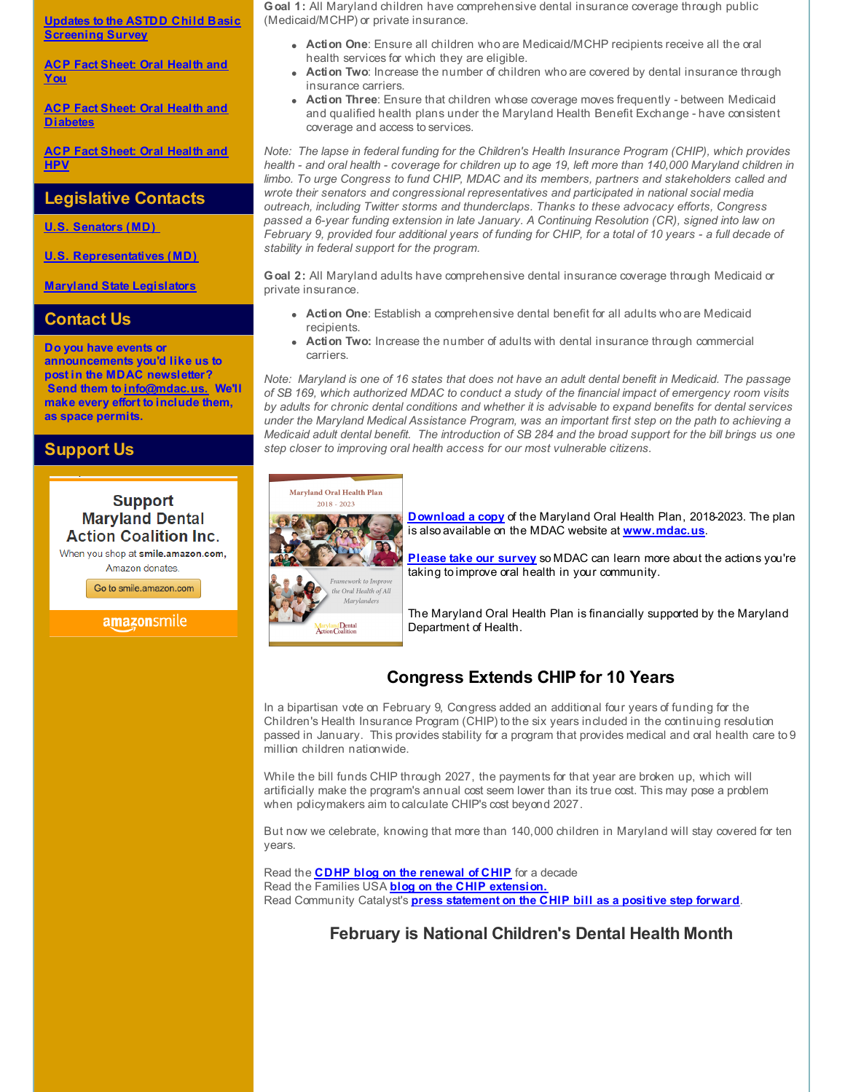**Updates to the ASTDD Child Basic [Screening](http://r20.rs6.net/tn.jsp?f=001Xb41drQuKW_-oHy2weZP9Y9yojK87cPI4KL1qJjUR07CNQCyy6EfWi2WnP8Ay0UCnO9E7S5riQvrAwNOU0JBdQJbI8J8FNlj5KV9P00mF2jXLTO1lE06ibytpTQdHgA6Yc4ghrpuhdJYCyRQLC39iB0RCSh07bvae5Wjid6sKuOdXnlTsuXuPr6kzjxHoTziVyjN3zks8hNuX3SXbGSHdIzxrdWnW4CbGmvdIJoEU25QkIiGxcoBChzZDmTslbJI5rSkz1dQXvb50DDt6uL7C3U7ViSu22vLIRgQ-m7kWoRmZK_NIQP6bDIjlHDaZqv4k15ns1cXWz0WxpWAlrFPvWg6KjJ1kUBZj7PzuyvMA14=&c=&ch=) Survey**

**ACP Fact Sheet: Oral [Health](http://r20.rs6.net/tn.jsp?f=001Xb41drQuKW_-oHy2weZP9Y9yojK87cPI4KL1qJjUR07CNQCyy6EfWuw83ZyKeI9NbbsgTbErSDysj0BjP3FTTvhoP8_AllFK9NFhH0ecDwwQ2v1uiaTufu1lQys2ssckcCBIFbiUmEsnzX0MhwrF5uh-ydppuVxZrBoYrJ85Mq6QRqGdo8GAHYIj3VFAw9KePxJcSUwm_qUz3ukCW6LK2WKEm3Uk6B1XDwwsFJaPIsJv5L9lldD2QV55qqg-2Cw7FfANNnxkGmYNm3QricXzFCi9ATo0q6pU__OoSI_K0i-l5Q54-bwNv-kKJiODzd815peX8t0MBDV_pWH_hyWk9_qf6UfqdVGNmoJu4yYQ9xsGBhECTbQ_r8x3HrHpQuu7wNlP8kbHwUlFKbiboWQEbBvsgXRlv3SiMa6OogGz0W61Tkpwj9i0gA==&c=&ch=) and You**

**ACP Fact Sheet: Oral Health and [Diabetes](http://r20.rs6.net/tn.jsp?f=001Xb41drQuKW_-oHy2weZP9Y9yojK87cPI4KL1qJjUR07CNQCyy6EfWuw83ZyKeI9Nwr96JcHSbv-ZeGVIybYHDahGNAemryr7gZ5B7SUSwKKaoP2UjRn4xFSnuwWaKmogwxnkOFLWNpoXIG5ieBHl5WVZh__MsBi84bGh7_7h32VudDsl5gj_OPBGp4DGMQAWMjpQMpOvQPVHKXLXThJqHsmVn-bNwSEqr2WySZnGD_uiYS_f3FMHSRUDHJ6KuUB_HHWBajwyim0dO-o6NzrKM-WF4IY8PD8Ow7it5GqZu6wNeSg1Y-BnRc9KNkMGjidYIk7IWzH0LEhuZmSK8bzQduCNGDyhN1iH8V5FCNamP25F_s_SVEUEBfkxOpu69H3CgTKnlGK6KzaP_U3w44p3JsUBTJf0O98Bwjts4l6HhmnZNjNH-VS8x-qegW5VIwjz&c=&ch=)**

**ACP Fact Sheet: Oral [Health](http://r20.rs6.net/tn.jsp?f=001Xb41drQuKW_-oHy2weZP9Y9yojK87cPI4KL1qJjUR07CNQCyy6EfWuw83ZyKeI9Nko7Y4_AA3rijWmsstdzIy9wiec67Z6xRE3Pr0Tj04RFm-jGpXGZsMHYXftt56WmtJOBAMOCoS6TdWqVZZcuRa_rnK4RzFXeAhDLjfhWTJd8XWE3Y99_gS1IawPe5H5IFPnV6HUSln9FW80fJwNY8nu1eB_ZxYOautZB0GsBZRMZbBSSLCmh6sttq_wPkGLv4giNNwlsbqGCWExeB39hg9i_9RnUOEAX3N_izesYDjeqxkPUXH0a-Ys-GFaIvnW9xHru976U5qGukMbJvVr3JYB1_lUJ0QT1fd1ZNy176JSWwC7cTDy7m2rrPcxa0K-IkiuGEsbWxxIQmP5In4EeT-_25K7YrIJf0KcdP3tVm-biJXPflVpnVhw==&c=&ch=) and HPV**

## **Legislative Contacts**

**U.S. [Senators](http://r20.rs6.net/tn.jsp?f=001Xb41drQuKW_-oHy2weZP9Y9yojK87cPI4KL1qJjUR07CNQCyy6EfWpIAdzYS62u-T-uMeF1OjT3__2jt8T10R8BXxYVja-8IxiIBWVVVgSpmE7Xu7uGrPN8hiokyCJ2mgDhIwFzJiCyEb1lLQl1ndiaL2t-EDcC8TGyTqoKfgJaoJBcp1fgMUGbzCJtaP23I5ptqp1TpVYpAohC9ypdTICKob9eZS6vNCJUH-J7HpHT1ldx8lme6eRlexJffjhIXkvS-tdsD9bJAopWXRpYOnHZRE7_uQ5CmCsC6cxii_Jsg5BjpfI2eJEIe0Y4oJ3vAyynUkuN0671KU1_K-FLt5x-yu4qIOscNzOz6PvSneZ4BfhJ3LVbFTmQclW-SvtFSVpnsDzJDo8U=&c=&ch=) (MD)**

**U.S. [Representatives](http://r20.rs6.net/tn.jsp?f=001Xb41drQuKW_-oHy2weZP9Y9yojK87cPI4KL1qJjUR07CNQCyy6EfWrAwJuibQH4frBIpLqSbdJJYlyQ00HXWvfsgj_INtRJGzm8ThdHtTIGG_QizWnyj44OeZENfBwlVmZVs907nESVD7sC5QhPVLGYNU2EUx2m5DkkV-VbqvOov6U-Pm6EeDdSH_UGsJ0eiw-tMqjrhZoPk0J1AePnF16dXy4yoNqvymFDEE-SUA7Vga2eTVe0YYi0rpm5eMHNWC6wX_nS5WC_v2r8AlHgIUGXG1fKFNXnh4I9dFmNbn6jRs9q_GcYPo2CZUTI_Mo_lbvpDFwJ-gtq2I9wy6WBNbAX4KFrRgwbR1eR8kgq6MTYCLomMe70PeaBchrqIg7GK&c=&ch=) (MD)**

**Maryland State [Legislators](http://r20.rs6.net/tn.jsp?f=001Xb41drQuKW_-oHy2weZP9Y9yojK87cPI4KL1qJjUR07CNQCyy6EfWrAwJuibQH4fjDrRQ9HZl4CH-Zki_0ikss3MB3y2swj8hLUY85WXPlReA-YJMrh09PVyDgmMaQaVG_ReMjb5sDe38EwZ3R_3LdHJg6lQQ2Yrudzy5fQOquPFaql_IOfhiUpvUQjcs5ER0vlTactFLvqNQriVf_YN5MmqJQPIuG4XYbHOU0wjD0aw7wdYoqDSb_8Ze3IE27oVJyI4UEq1rMQ4c7rZq7dmp0bKkw5XeYQckHlQCUCO3dWPjvDsShdQN6y7DsMAHr6SS3wHW9qZXgu-jmBmeETDOGJyiLKpSqDstM266_hqvNda81LZgdj4x7cQ36b8spcwom4TlLoSf_c=&c=&ch=)**

## **Contact Us**

**Do you have events or announcements you'd like us to post in the MDAC newsletter? Send them to [info@mdac.us.](mailto:info@mdac.us) We'll make every effort to include them, as space permits.**

## **Support Us**

## **Support Maryland Dental Action Coalition Inc.**

When you shop at smile.amazon.com, Amazon donates

Go to smile.amazon.com

#### amazonsmile

**Goal 1:** All Maryland children have comprehensive dental insurance coverage through public (Medicaid/MCHP) or private insurance.

- **Action One**: Ensure all children who are Medicaid/MCHP recipients receive all the oral health services for which they are eligible.
- **Action Two**: Increase the number of children who are covered by dental insurance through insurance carriers.
- **Action Three**: Ensure that children whose coverage moves frequently between Medicaid and qualified health plans under the Maryland Health Benefit Exchange - have consistent coverage and access to services.

*Note: The lapse in federal funding for the Children's Health Insurance Program (CHIP), which provides* health - and oral health - coverage for children up to age 19, left more than 140,000 Maryland children in *limbo. To urge Congress to fund CHIP, MDAC and its members, partners and stakeholders called and wrote their senators and congressional representatives and participated in national social media outreach, including Twitter storms and thunderclaps. Thanks to these advocacy efforts, Congress passed a 6-year funding extension in late January. A Continuing Resolution (CR), signed into law on* February 9, provided four additional years of funding for CHIP, for a total of 10 years - a full decade of *stability in federal support for the program.*

**Goal 2:** All Maryland adults have comprehensive dental insurance coverage through Medicaid or private insurance.

- **Action One**: Establish a comprehensive dental benefit for all adults who are Medicaid recipients.
- **Action Two:** Increase the number of adults with dental insurance through commercial carriers.

Note: Maryland is one of 16 states that does not have an adult dental benefit in Medicaid. The passage of SB 169, which authorized MDAC to conduct a study of the financial impact of emergency room visits by adults for chronic dental conditions and whether it is advisable to expand benefits for dental services *under the Maryland Medical Assistance Program, was an important first step on the path to achieving a* Medicaid adult dental benefit. The introduction of SB 284 and the broad support for the bill brings us one *step closer to improving oral health access for our most vulnerable citizens.*



**[Download](http://r20.rs6.net/tn.jsp?f=001Xb41drQuKW_-oHy2weZP9Y9yojK87cPI4KL1qJjUR07CNQCyy6EfWuw83ZyKeI9NfbARqimTAKOcMwlRN7yF8k96kZv66883yaWck4_Cb1ypN1FgkXMOJS_Gm9yWLG9CGAdvzqZMwIE-DjL6_6IiKvxeo89uzcI-hF-jtmFw_BOIXCvgcfMPg-VkOQ9b-4Pj8il5Dy_eG4dRijL2OKIaY_55qlf3Okpp1F5LO1aILZ7ZaIh3Y7wTgB6ru7BN-0UJ1_dz1jW3R267A5nh-9lVAicD9b7yqbyYCy8TrdMrBqI6a2nrSuwiHxfkY29uKIbrhT1412FwFT6sbFC-s7RgQw==&c=&ch=) a copy** of the Maryland Oral Health Plan, 2018-2023. The plan is also available on the MDAC website at **[www.mdac.us](http://r20.rs6.net/tn.jsp?f=001Xb41drQuKW_-oHy2weZP9Y9yojK87cPI4KL1qJjUR07CNQCyy6EfWuqlCj92S9e8NAPTU-jhN8paOClqqNusxaKaXlaw8gX-FidA5sOjrLvrbpBOWeWrjt-50w3zFv1_NenlakC_pXUsbhduTktDGDa9nrD82aySOMEn1PflBDOWIceMlV-HuqpqK_43TkiUCJIJGvKpYGmAeECElNkpvmbh6pvw9pqAg8SUiHh3Gg9XsC5PR7xiYS4zprq-MoIEvqXwtbmXnwtsykj1njLqpRLdeWHaP4lfReCzKlasAZ2_OKE4ApJCKQ==&c=&ch=)**.

**[Please](http://r20.rs6.net/tn.jsp?f=001Xb41drQuKW_-oHy2weZP9Y9yojK87cPI4KL1qJjUR07CNQCyy6EfWuw83ZyKeI9Ns40-3WNz5JVczOCNstwBLuvB482Xt6zUgTzCXhrTbJKZpcaJfL60Eh5p2oEm-AisvuraYwtTdAvMj0Wd5e1po_xpwkUFm_Aj5Yi54E-dJYl44A89mVDAsTH0sfDavUppJ8po_aZ6rB2I3ykx5D_yy91aAWS0Uy-WNm6uYwlikcusCWiAYDarsAnG7iISPgs99rokLB7ry3iJe_HNQ-JDyq5AlxtCv62czu-_wbk2Q4PxDjMBB3B1vfHRUbDCJUR6m9kOKAlfXi8=&c=&ch=) take our survey** so MDAC can learn more about the actions you're taking to improve oral health in your community.

The Maryland Oral Health Plan is financially supported by the Maryland Department of Health.

# **Congress Extends CHIP for 10 Years**

In a bipartisan vote on February 9, Congress added an additional four years of funding for the Children's Health Insurance Program (CHIP) to the six years included in the continuing resolution passed in January. This provides stability for a program that provides medical and oral health care to 9 million children nationwide.

While the bill funds CHIP through 2027, the payments for that year are broken up, which will artificially make the program's annual cost seem lower than its true cost. This may pose a problem when policymakers aim to calculate CHIP's cost beyond 2027.

But now we celebrate, knowing that more than 140,000 children in Maryland will stay covered for ten years.

Read the **CDHP blog on the [renewal](http://r20.rs6.net/tn.jsp?f=001Xb41drQuKW_-oHy2weZP9Y9yojK87cPI4KL1qJjUR07CNQCyy6EfWqXdof857Ibvj54uOEg_rx0GRHsuAC6SOoiCUZvAYwD64XF19TctBom6fcuSc8AnRSZI5ljHIln3oZIqGOLwsYwA5VWshyNzV4QIXHtYWaKHB1WS2ZdHURiJz6_yB372aJah3tOgqCHausnvR_hBaIYUQlRDuIE4zqxI729-msU6kh5sW6tLMKUE4y5oFRoGaNvYxB80Gdbrs0YaPdUzkbySuMtVxniQtrK2gUx5hWysRql-_3S3Ctcwhk0MQmrU1nmkR13yh7IW8IQ_UV0ezhZsCdySzi8Sa1GBBYPh_EXMAQBDqS5z2RxoAaPVJcHPHqQQET3AH2372kuHTFK8oeIC3tN-dtiXog==&c=&ch=) of CHIP** for a decade Read the Families USA **blog on the CHIP [extension.](http://r20.rs6.net/tn.jsp?f=001Xb41drQuKW_-oHy2weZP9Y9yojK87cPI4KL1qJjUR07CNQCyy6EfWqXdof857Ibv3X09iJdgd8AoL3CsaxlImfw4K4fi1zWPoDIQqu-Fxo9rBmvRFNFYe6SQl9JN7jIS9v6XWnsl6VI0yVX5Dfgl7riO5Xaf_Alu2DAOezs-V6t5gOC-IOMP80MlbZu0G8S2dNkcjEM2AOKCHADIu3oAGpaNeWMqIG5qrLouoizU8yrXieZl-pvRFz6kM_3qlLZWrH2Wyw30XvAvnSV54TUBJ8FT2XpDXhICNHePZVYZvG-O5qJWZm7mM5k5E9bikjSoL2qN0R-AXYP5g-j_XLBs2iMP60Po4abJ6jXS2t5J6MYY5snglIr4Y_F8xGb_DkugQIn3JwVNqWpkpjEyQk_vZg==&c=&ch=)** Read Community Catalyst's **press [statement](http://r20.rs6.net/tn.jsp?f=001Xb41drQuKW_-oHy2weZP9Y9yojK87cPI4KL1qJjUR07CNQCyy6EfWtrtmR8M4CN96MTOQ2JAx2Q0HpCLAh95AzxZuLE2xtLadpjARdLsVt2NcaYZFjrvnuQWm931-bElDQREByYJ6xtUbGRybYM9YpQl-7pFg8iQAxgs609n4fkoyYk6p015ILtAWdHPW-KUuCPadEKWPTZGw-uxqh8aWrcw5mo-SpPWDWWpt4NZW2YeerVORg7jc0_kPV0TS-XE0T-zHF9W5r5bqGi3y6sKM8Co76qL3Kjs4JOi-Ovu1qpzzzoyVbzL1KP-VOCy5l18zhhQ-eTfPjUACfO3QbYguCO44LufsVggrcERVCdG6jtq7c2uUGirZcDJwWBDyQBJaGt84LxApzkCZMKRb31D0OCWVC_cCSQS9TOLNkkUkZvm2qQr_DhgZOpsKc_AQMZAY6P7pRAA00etKaUevvMYIqua1ULPpGWiE5H7qkK1MD8=&c=&ch=) on the CHIP bill as a positive step forward**.

**February is National Children's Dental Health Month**